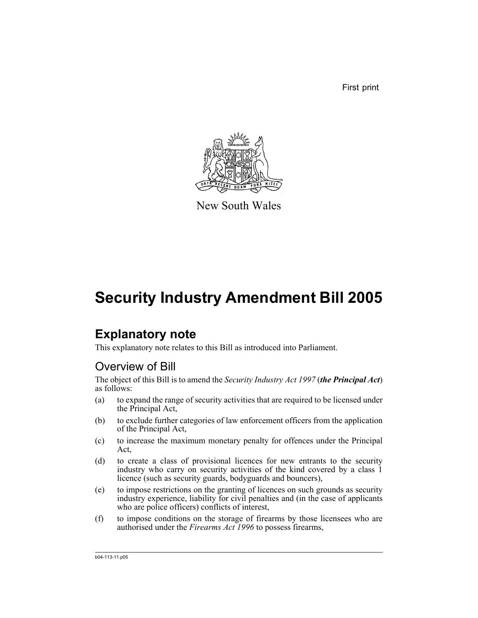First print



New South Wales

# **Security Industry Amendment Bill 2005**

# **Explanatory note**

This explanatory note relates to this Bill as introduced into Parliament.

# Overview of Bill

The object of this Bill is to amend the *Security Industry Act 1997* (*the Principal Act*) as follows:

- (a) to expand the range of security activities that are required to be licensed under the Principal Act,
- (b) to exclude further categories of law enforcement officers from the application of the Principal Act,
- (c) to increase the maximum monetary penalty for offences under the Principal Act,
- (d) to create a class of provisional licences for new entrants to the security industry who carry on security activities of the kind covered by a class 1 licence (such as security guards, bodyguards and bouncers),
- (e) to impose restrictions on the granting of licences on such grounds as security industry experience, liability for civil penalties and (in the case of applicants who are police officers) conflicts of interest,
- (f) to impose conditions on the storage of firearms by those licensees who are authorised under the *Firearms Act 1996* to possess firearms,

b04-113-11.p05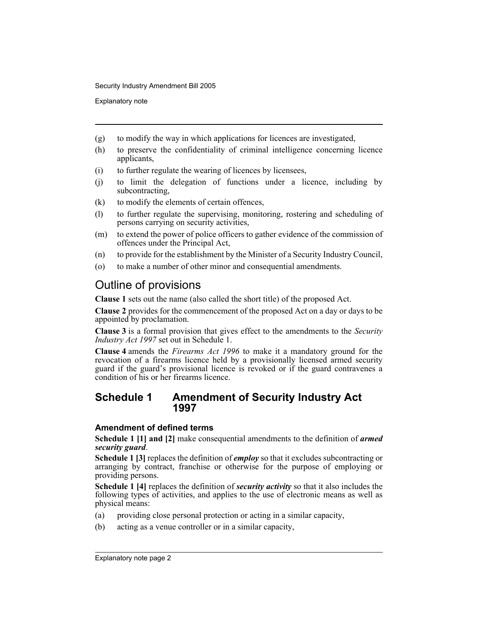Explanatory note

- (g) to modify the way in which applications for licences are investigated,
- (h) to preserve the confidentiality of criminal intelligence concerning licence applicants,
- (i) to further regulate the wearing of licences by licensees,
- (j) to limit the delegation of functions under a licence, including by subcontracting,
- (k) to modify the elements of certain offences,
- (l) to further regulate the supervising, monitoring, rostering and scheduling of persons carrying on security activities,
- (m) to extend the power of police officers to gather evidence of the commission of offences under the Principal Act,
- (n) to provide for the establishment by the Minister of a Security Industry Council,
- (o) to make a number of other minor and consequential amendments.

## Outline of provisions

**Clause 1** sets out the name (also called the short title) of the proposed Act.

**Clause 2** provides for the commencement of the proposed Act on a day or days to be appointed by proclamation.

**Clause 3** is a formal provision that gives effect to the amendments to the *Security Industry Act 1997* set out in Schedule 1.

**Clause 4** amends the *Firearms Act 1996* to make it a mandatory ground for the revocation of a firearms licence held by a provisionally licensed armed security guard if the guard's provisional licence is revoked or if the guard contravenes a condition of his or her firearms licence.

### **Schedule 1 Amendment of Security Industry Act 1997**

#### **Amendment of defined terms**

**Schedule 1 [1] and [2]** make consequential amendments to the definition of *armed security guard*.

**Schedule 1 [3]** replaces the definition of *employ* so that it excludes subcontracting or arranging by contract, franchise or otherwise for the purpose of employing or providing persons.

**Schedule 1 [4]** replaces the definition of *security activity* so that it also includes the following types of activities, and applies to the use of electronic means as well as physical means:

- (a) providing close personal protection or acting in a similar capacity,
- (b) acting as a venue controller or in a similar capacity,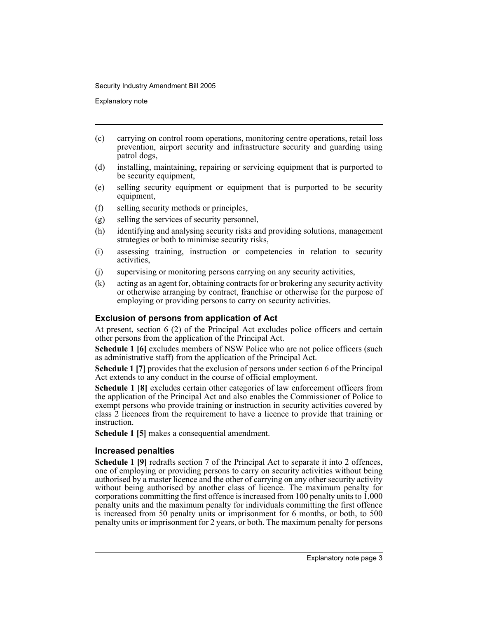Explanatory note

- (c) carrying on control room operations, monitoring centre operations, retail loss prevention, airport security and infrastructure security and guarding using patrol dogs,
- (d) installing, maintaining, repairing or servicing equipment that is purported to be security equipment,
- (e) selling security equipment or equipment that is purported to be security equipment,
- (f) selling security methods or principles,
- (g) selling the services of security personnel,
- (h) identifying and analysing security risks and providing solutions, management strategies or both to minimise security risks,
- (i) assessing training, instruction or competencies in relation to security activities,
- (j) supervising or monitoring persons carrying on any security activities,
- (k) acting as an agent for, obtaining contracts for or brokering any security activity or otherwise arranging by contract, franchise or otherwise for the purpose of employing or providing persons to carry on security activities.

#### **Exclusion of persons from application of Act**

At present, section 6 (2) of the Principal Act excludes police officers and certain other persons from the application of the Principal Act.

**Schedule 1 [6]** excludes members of NSW Police who are not police officers (such as administrative staff) from the application of the Principal Act.

**Schedule 1 [7]** provides that the exclusion of persons under section 6 of the Principal Act extends to any conduct in the course of official employment.

**Schedule 1 [8]** excludes certain other categories of law enforcement officers from the application of the Principal Act and also enables the Commissioner of Police to exempt persons who provide training or instruction in security activities covered by class 2 licences from the requirement to have a licence to provide that training or instruction.

**Schedule 1 [5]** makes a consequential amendment.

#### **Increased penalties**

**Schedule 1 [9]** redrafts section 7 of the Principal Act to separate it into 2 offences, one of employing or providing persons to carry on security activities without being authorised by a master licence and the other of carrying on any other security activity without being authorised by another class of licence. The maximum penalty for corporations committing the first offence is increased from 100 penalty units to 1,000 penalty units and the maximum penalty for individuals committing the first offence is increased from 50 penalty units or imprisonment for 6 months, or both, to 500 penalty units or imprisonment for 2 years, or both. The maximum penalty for persons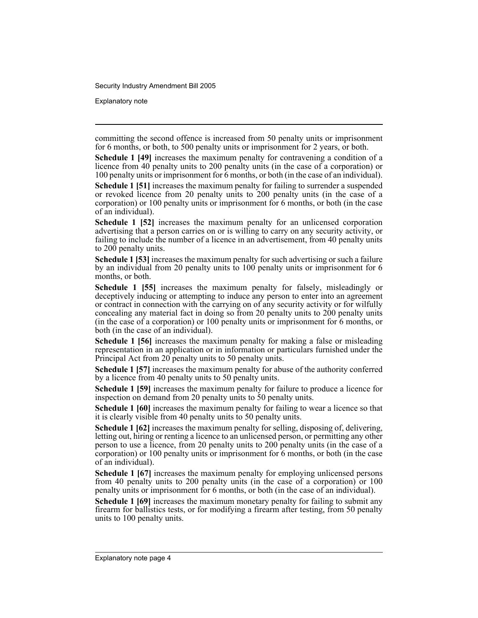Explanatory note

committing the second offence is increased from 50 penalty units or imprisonment for 6 months, or both, to 500 penalty units or imprisonment for 2 years, or both.

**Schedule 1 [49]** increases the maximum penalty for contravening a condition of a licence from 40 penalty units to 200 penalty units (in the case of a corporation) or 100 penalty units or imprisonment for 6 months, or both (in the case of an individual).

**Schedule 1 [51]** increases the maximum penalty for failing to surrender a suspended or revoked licence from 20 penalty units to 200 penalty units (in the case of a corporation) or 100 penalty units or imprisonment for 6 months, or both (in the case of an individual).

**Schedule 1 [52]** increases the maximum penalty for an unlicensed corporation advertising that a person carries on or is willing to carry on any security activity, or failing to include the number of a licence in an advertisement, from 40 penalty units to 200 penalty units.

**Schedule 1 [53]** increases the maximum penalty for such advertising or such a failure by an individual from 20 penalty units to 100 penalty units or imprisonment for 6 months, or both.

**Schedule 1 [55]** increases the maximum penalty for falsely, misleadingly or deceptively inducing or attempting to induce any person to enter into an agreement or contract in connection with the carrying on of any security activity or for wilfully concealing any material fact in doing so from 20 penalty units to 200 penalty units (in the case of a corporation) or 100 penalty units or imprisonment for 6 months, or both (in the case of an individual).

**Schedule 1 [56]** increases the maximum penalty for making a false or misleading representation in an application or in information or particulars furnished under the Principal Act from 20 penalty units to 50 penalty units.

**Schedule 1 [57]** increases the maximum penalty for abuse of the authority conferred by a licence from 40 penalty units to 50 penalty units.

**Schedule 1 [59]** increases the maximum penalty for failure to produce a licence for inspection on demand from 20 penalty units to 50 penalty units.

**Schedule 1 [60]** increases the maximum penalty for failing to wear a licence so that it is clearly visible from 40 penalty units to 50 penalty units.

**Schedule 1 [62]** increases the maximum penalty for selling, disposing of, delivering, letting out, hiring or renting a licence to an unlicensed person, or permitting any other person to use a licence, from 20 penalty units to 200 penalty units (in the case of a corporation) or 100 penalty units or imprisonment for 6 months, or both (in the case of an individual).

**Schedule 1 [67]** increases the maximum penalty for employing unlicensed persons from 40 penalty units to 200 penalty units (in the case of a corporation) or 100 penalty units or imprisonment for 6 months, or both (in the case of an individual).

**Schedule 1 [69]** increases the maximum monetary penalty for failing to submit any firearm for ballistics tests, or for modifying a firearm after testing, from 50 penalty units to 100 penalty units.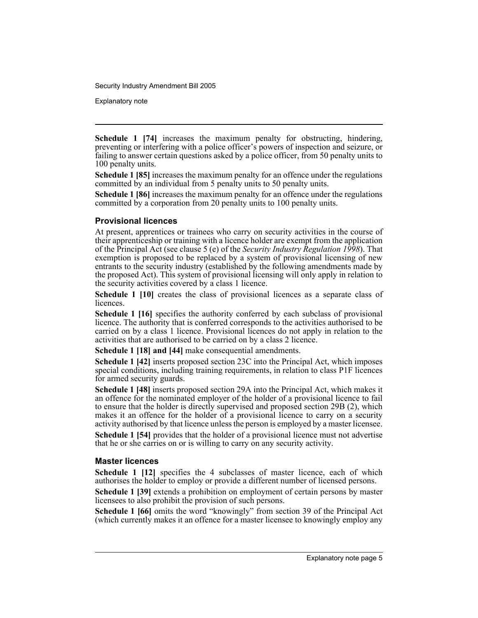Explanatory note

**Schedule 1 [74]** increases the maximum penalty for obstructing, hindering, preventing or interfering with a police officer's powers of inspection and seizure, or failing to answer certain questions asked by a police officer, from 50 penalty units to 100 penalty units.

**Schedule 1 [85]** increases the maximum penalty for an offence under the regulations committed by an individual from 5 penalty units to 50 penalty units.

**Schedule 1 [86]** increases the maximum penalty for an offence under the regulations committed by a corporation from 20 penalty units to 100 penalty units.

#### **Provisional licences**

At present, apprentices or trainees who carry on security activities in the course of their apprenticeship or training with a licence holder are exempt from the application of the Principal Act (see clause 5 (e) of the *Security Industry Regulation 1998*). That exemption is proposed to be replaced by a system of provisional licensing of new entrants to the security industry (established by the following amendments made by the proposed Act). This system of provisional licensing will only apply in relation to the security activities covered by a class 1 licence.

**Schedule 1 [10]** creates the class of provisional licences as a separate class of licences.

**Schedule 1 [16]** specifies the authority conferred by each subclass of provisional licence. The authority that is conferred corresponds to the activities authorised to be carried on by a class 1 licence. Provisional licences do not apply in relation to the activities that are authorised to be carried on by a class 2 licence.

**Schedule 1 [18] and [44]** make consequential amendments.

**Schedule 1 [42]** inserts proposed section 23C into the Principal Act, which imposes special conditions, including training requirements, in relation to class P1F licences for armed security guards.

**Schedule 1 [48]** inserts proposed section 29A into the Principal Act, which makes it an offence for the nominated employer of the holder of a provisional licence to fail to ensure that the holder is directly supervised and proposed section 29B (2), which makes it an offence for the holder of a provisional licence to carry on a security activity authorised by that licence unless the person is employed by a master licensee.

**Schedule 1 [54]** provides that the holder of a provisional licence must not advertise that he or she carries on or is willing to carry on any security activity.

#### **Master licences**

**Schedule 1 [12]** specifies the 4 subclasses of master licence, each of which authorises the holder to employ or provide a different number of licensed persons.

**Schedule 1 [39]** extends a prohibition on employment of certain persons by master licensees to also prohibit the provision of such persons.

**Schedule 1 [66]** omits the word "knowingly" from section 39 of the Principal Act (which currently makes it an offence for a master licensee to knowingly employ any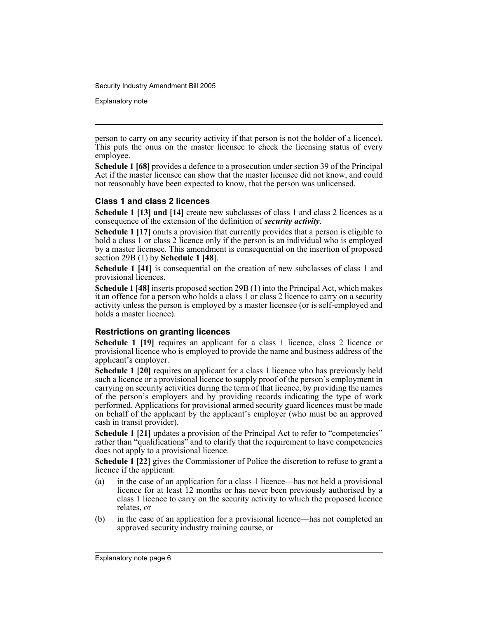Explanatory note

person to carry on any security activity if that person is not the holder of a licence). This puts the onus on the master licensee to check the licensing status of every employee.

**Schedule 1 [68]** provides a defence to a prosecution under section 39 of the Principal Act if the master licensee can show that the master licensee did not know, and could not reasonably have been expected to know, that the person was unlicensed.

#### **Class 1 and class 2 licences**

**Schedule 1 [13] and [14]** create new subclasses of class 1 and class 2 licences as a consequence of the extension of the definition of *security activity*.

**Schedule 1 [17]** omits a provision that currently provides that a person is eligible to hold a class 1 or class 2 licence only if the person is an individual who is employed by a master licensee. This amendment is consequential on the insertion of proposed section 29B (1) by **Schedule 1 [48]**.

**Schedule 1 [41]** is consequential on the creation of new subclasses of class 1 and provisional licences.

**Schedule 1 [48]** inserts proposed section 29B (1) into the Principal Act, which makes it an offence for a person who holds a class 1 or class 2 licence to carry on a security activity unless the person is employed by a master licensee (or is self-employed and holds a master licence).

#### **Restrictions on granting licences**

**Schedule 1 [19]** requires an applicant for a class 1 licence, class 2 licence or provisional licence who is employed to provide the name and business address of the applicant's employer.

**Schedule 1 [20]** requires an applicant for a class 1 licence who has previously held such a licence or a provisional licence to supply proof of the person's employment in carrying on security activities during the term of that licence, by providing the names of the person's employers and by providing records indicating the type of work performed. Applications for provisional armed security guard licences must be made on behalf of the applicant by the applicant's employer (who must be an approved cash in transit provider).

**Schedule 1 [21]** updates a provision of the Principal Act to refer to "competencies" rather than "qualifications" and to clarify that the requirement to have competencies does not apply to a provisional licence.

**Schedule 1 [22]** gives the Commissioner of Police the discretion to refuse to grant a licence if the applicant:

- (a) in the case of an application for a class 1 licence—has not held a provisional licence for at least 12 months or has never been previously authorised by a class 1 licence to carry on the security activity to which the proposed licence relates, or
- (b) in the case of an application for a provisional licence—has not completed an approved security industry training course, or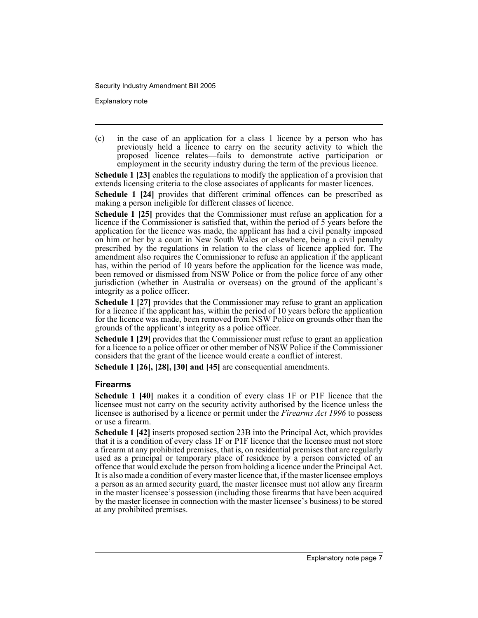Explanatory note

(c) in the case of an application for a class 1 licence by a person who has previously held a licence to carry on the security activity to which the proposed licence relates—fails to demonstrate active participation or employment in the security industry during the term of the previous licence.

**Schedule 1 [23]** enables the regulations to modify the application of a provision that extends licensing criteria to the close associates of applicants for master licences.

**Schedule 1 [24]** provides that different criminal offences can be prescribed as making a person ineligible for different classes of licence.

**Schedule 1 [25]** provides that the Commissioner must refuse an application for a licence if the Commissioner is satisfied that, within the period of 5 years before the application for the licence was made, the applicant has had a civil penalty imposed on him or her by a court in New South Wales or elsewhere, being a civil penalty prescribed by the regulations in relation to the class of licence applied for. The amendment also requires the Commissioner to refuse an application if the applicant has, within the period of 10 years before the application for the licence was made, been removed or dismissed from NSW Police or from the police force of any other jurisdiction (whether in Australia or overseas) on the ground of the applicant's integrity as a police officer.

**Schedule 1 [27]** provides that the Commissioner may refuse to grant an application for a licence if the applicant has, within the period of 10 years before the application for the licence was made, been removed from NSW Police on grounds other than the grounds of the applicant's integrity as a police officer.

**Schedule 1 [29]** provides that the Commissioner must refuse to grant an application for a licence to a police officer or other member of NSW Police if the Commissioner considers that the grant of the licence would create a conflict of interest.

**Schedule 1 [26], [28], [30] and [45]** are consequential amendments.

#### **Firearms**

**Schedule 1 [40]** makes it a condition of every class 1F or P1F licence that the licensee must not carry on the security activity authorised by the licence unless the licensee is authorised by a licence or permit under the *Firearms Act 1996* to possess or use a firearm.

**Schedule 1 [42]** inserts proposed section 23B into the Principal Act, which provides that it is a condition of every class 1F or P1F licence that the licensee must not store a firearm at any prohibited premises, that is, on residential premises that are regularly used as a principal or temporary place of residence by a person convicted of an offence that would exclude the person from holding a licence under the Principal Act. It is also made a condition of every master licence that, if the master licensee employs a person as an armed security guard, the master licensee must not allow any firearm in the master licensee's possession (including those firearms that have been acquired by the master licensee in connection with the master licensee's business) to be stored at any prohibited premises.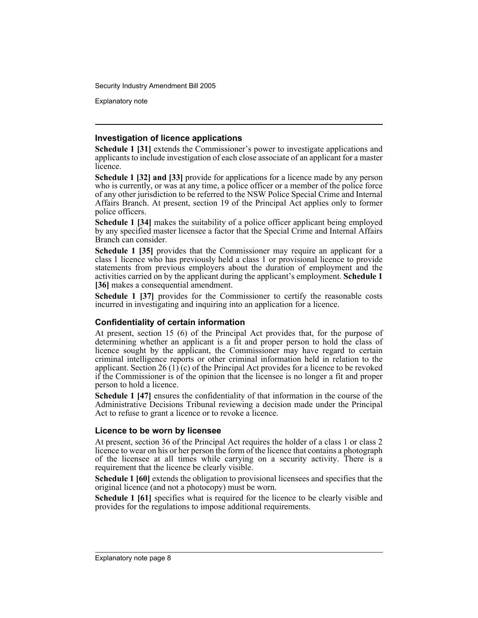Explanatory note

#### **Investigation of licence applications**

**Schedule 1 [31]** extends the Commissioner's power to investigate applications and applicants to include investigation of each close associate of an applicant for a master licence.

**Schedule 1 [32] and [33]** provide for applications for a licence made by any person who is currently, or was at any time, a police officer or a member of the police force of any other jurisdiction to be referred to the NSW Police Special Crime and Internal Affairs Branch. At present, section 19 of the Principal Act applies only to former police officers.

**Schedule 1 [34]** makes the suitability of a police officer applicant being employed by any specified master licensee a factor that the Special Crime and Internal Affairs Branch can consider.

**Schedule 1 [35]** provides that the Commissioner may require an applicant for a class 1 licence who has previously held a class 1 or provisional licence to provide statements from previous employers about the duration of employment and the activities carried on by the applicant during the applicant's employment. **Schedule 1 [36]** makes a consequential amendment.

**Schedule 1 [37]** provides for the Commissioner to certify the reasonable costs incurred in investigating and inquiring into an application for a licence.

#### **Confidentiality of certain information**

At present, section 15 (6) of the Principal Act provides that, for the purpose of determining whether an applicant is a fit and proper person to hold the class of licence sought by the applicant, the Commissioner may have regard to certain criminal intelligence reports or other criminal information held in relation to the applicant. Section 26 (1) (c) of the Principal Act provides for a licence to be revoked if the Commissioner is of the opinion that the licensee is no longer a fit and proper person to hold a licence.

**Schedule 1 [47]** ensures the confidentiality of that information in the course of the Administrative Decisions Tribunal reviewing a decision made under the Principal Act to refuse to grant a licence or to revoke a licence.

#### **Licence to be worn by licensee**

At present, section 36 of the Principal Act requires the holder of a class 1 or class 2 licence to wear on his or her person the form of the licence that contains a photograph of the licensee at all times while carrying on a security activity. There is a requirement that the licence be clearly visible.

**Schedule 1 [60]** extends the obligation to provisional licensees and specifies that the original licence (and not a photocopy) must be worn.

**Schedule 1 [61]** specifies what is required for the licence to be clearly visible and provides for the regulations to impose additional requirements.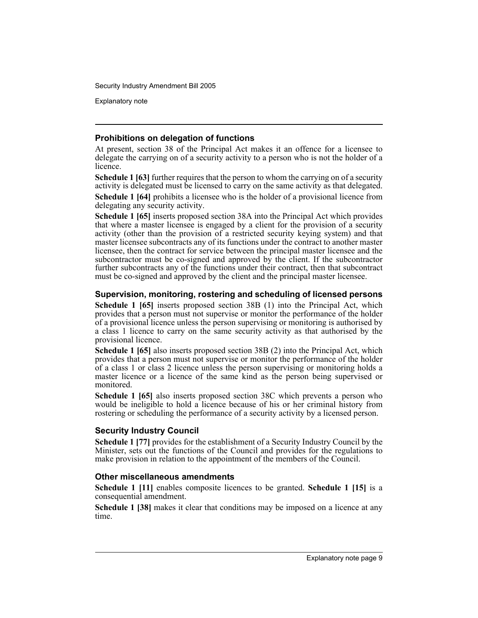Explanatory note

#### **Prohibitions on delegation of functions**

At present, section 38 of the Principal Act makes it an offence for a licensee to delegate the carrying on of a security activity to a person who is not the holder of a licence.

**Schedule 1 [63]** further requires that the person to whom the carrying on of a security activity is delegated must be licensed to carry on the same activity as that delegated.

**Schedule 1 [64]** prohibits a licensee who is the holder of a provisional licence from delegating any security activity.

**Schedule 1 [65]** inserts proposed section 38A into the Principal Act which provides that where a master licensee is engaged by a client for the provision of a security activity (other than the provision of a restricted security keying system) and that master licensee subcontracts any of its functions under the contract to another master licensee, then the contract for service between the principal master licensee and the subcontractor must be co-signed and approved by the client. If the subcontractor further subcontracts any of the functions under their contract, then that subcontract must be co-signed and approved by the client and the principal master licensee.

#### **Supervision, monitoring, rostering and scheduling of licensed persons**

**Schedule 1 [65]** inserts proposed section 38B (1) into the Principal Act, which provides that a person must not supervise or monitor the performance of the holder of a provisional licence unless the person supervising or monitoring is authorised by a class 1 licence to carry on the same security activity as that authorised by the provisional licence.

**Schedule 1 [65]** also inserts proposed section 38B (2) into the Principal Act, which provides that a person must not supervise or monitor the performance of the holder of a class 1 or class 2 licence unless the person supervising or monitoring holds a master licence or a licence of the same kind as the person being supervised or monitored.

**Schedule 1 [65]** also inserts proposed section 38C which prevents a person who would be ineligible to hold a licence because of his or her criminal history from rostering or scheduling the performance of a security activity by a licensed person.

#### **Security Industry Council**

**Schedule 1 [77]** provides for the establishment of a Security Industry Council by the Minister, sets out the functions of the Council and provides for the regulations to make provision in relation to the appointment of the members of the Council.

#### **Other miscellaneous amendments**

**Schedule 1 [11]** enables composite licences to be granted. **Schedule 1 [15]** is a consequential amendment.

**Schedule 1 [38]** makes it clear that conditions may be imposed on a licence at any time.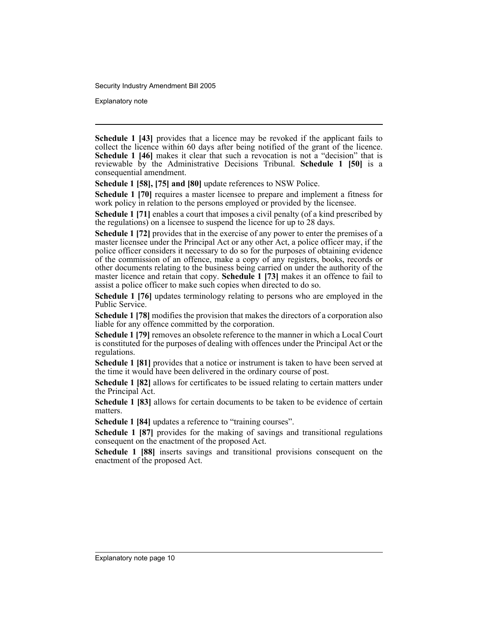Explanatory note

**Schedule 1 [43]** provides that a licence may be revoked if the applicant fails to collect the licence within 60 days after being notified of the grant of the licence. **Schedule 1 [46]** makes it clear that such a revocation is not a "decision" that is reviewable by the Administrative Decisions Tribunal. **Schedule 1 [50]** is a consequential amendment.

**Schedule 1 [58], [75] and [80]** update references to NSW Police.

**Schedule 1 [70]** requires a master licensee to prepare and implement a fitness for work policy in relation to the persons employed or provided by the licensee.

**Schedule 1** [71] enables a court that imposes a civil penalty (of a kind prescribed by the regulations) on a licensee to suspend the licence for up to 28 days.

**Schedule 1 [72]** provides that in the exercise of any power to enter the premises of a master licensee under the Principal Act or any other Act, a police officer may, if the police officer considers it necessary to do so for the purposes of obtaining evidence of the commission of an offence, make a copy of any registers, books, records or other documents relating to the business being carried on under the authority of the master licence and retain that copy. **Schedule 1 [73]** makes it an offence to fail to assist a police officer to make such copies when directed to do so.

**Schedule 1 [76]** updates terminology relating to persons who are employed in the Public Service.

**Schedule 1 [78]** modifies the provision that makes the directors of a corporation also liable for any offence committed by the corporation.

**Schedule 1 [79]** removes an obsolete reference to the manner in which a Local Court is constituted for the purposes of dealing with offences under the Principal Act or the regulations.

**Schedule 1 [81]** provides that a notice or instrument is taken to have been served at the time it would have been delivered in the ordinary course of post.

**Schedule 1 [82]** allows for certificates to be issued relating to certain matters under the Principal Act.

**Schedule 1 [83]** allows for certain documents to be taken to be evidence of certain matters.

**Schedule 1 [84]** updates a reference to "training courses".

**Schedule 1 [87]** provides for the making of savings and transitional regulations consequent on the enactment of the proposed Act.

**Schedule 1 [88]** inserts savings and transitional provisions consequent on the enactment of the proposed Act.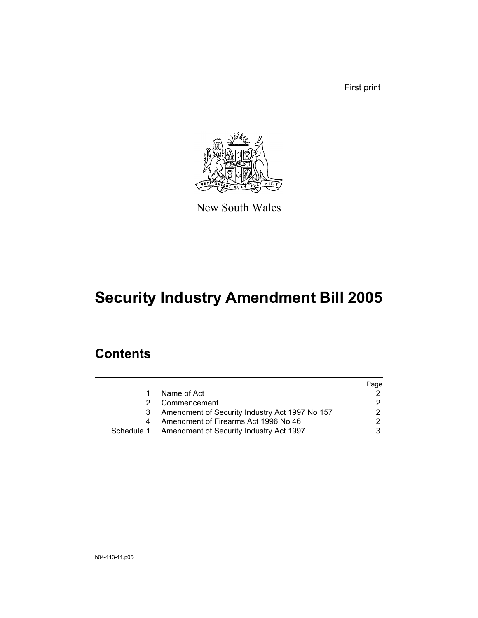First print



New South Wales

# **Security Industry Amendment Bill 2005**

# **Contents**

|   |                                                    | Page |
|---|----------------------------------------------------|------|
|   | Name of Act                                        |      |
|   | Commencement                                       |      |
| 3 | Amendment of Security Industry Act 1997 No 157     |      |
|   | Amendment of Firearms Act 1996 No 46               |      |
|   | Schedule 1 Amendment of Security Industry Act 1997 |      |
|   |                                                    |      |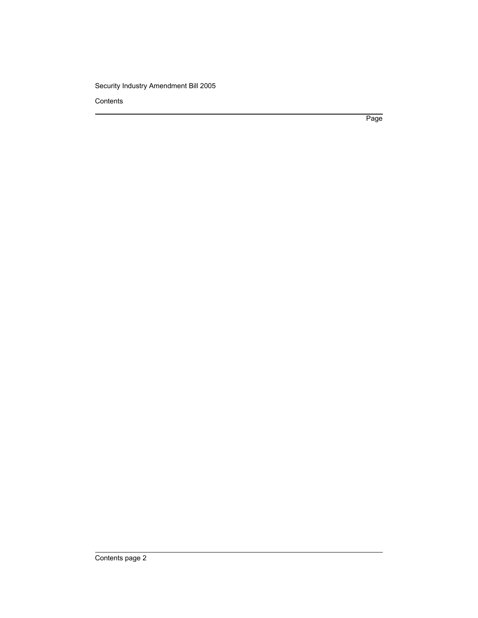**Contents** 

Page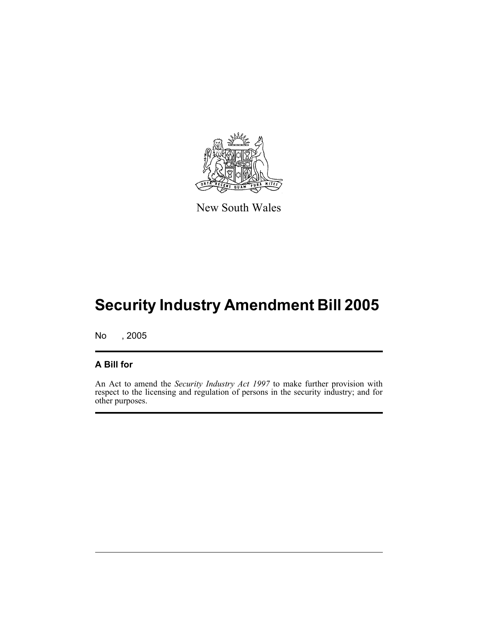

New South Wales

No , 2005

### **A Bill for**

An Act to amend the *Security Industry Act 1997* to make further provision with respect to the licensing and regulation of persons in the security industry; and for other purposes.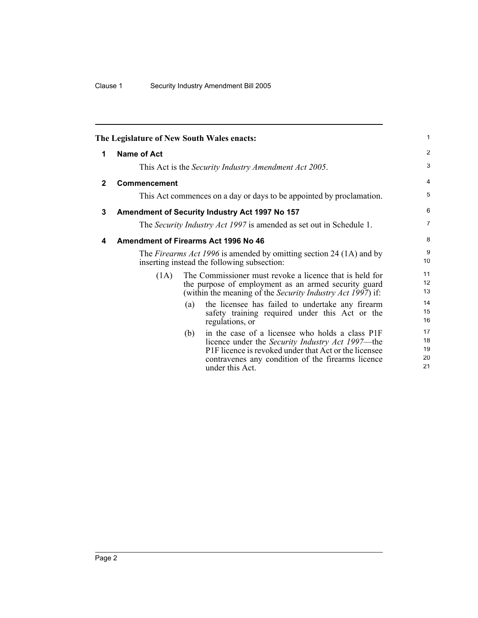<span id="page-13-2"></span><span id="page-13-1"></span><span id="page-13-0"></span>

|              | The Legislature of New South Wales enacts: |     |                                                                                                                                                                                                                                              | 1                          |
|--------------|--------------------------------------------|-----|----------------------------------------------------------------------------------------------------------------------------------------------------------------------------------------------------------------------------------------------|----------------------------|
| 1            | Name of Act                                |     |                                                                                                                                                                                                                                              | $\overline{2}$             |
|              |                                            |     | This Act is the Security Industry Amendment Act 2005.                                                                                                                                                                                        | 3                          |
| $\mathbf{2}$ | <b>Commencement</b>                        |     |                                                                                                                                                                                                                                              | 4                          |
|              |                                            |     | This Act commences on a day or days to be appointed by proclamation.                                                                                                                                                                         | 5                          |
| 3            |                                            |     | Amendment of Security Industry Act 1997 No 157                                                                                                                                                                                               | 6                          |
|              |                                            |     | The Security Industry Act 1997 is amended as set out in Schedule 1.                                                                                                                                                                          | $\overline{7}$             |
| 4            |                                            |     | Amendment of Firearms Act 1996 No 46                                                                                                                                                                                                         | 8                          |
|              |                                            |     | The <i>Firearms Act 1996</i> is amended by omitting section 24 (1A) and by<br>inserting instead the following subsection:                                                                                                                    | 9<br>10                    |
|              | (1A)                                       |     | The Commissioner must revoke a licence that is held for<br>the purpose of employment as an armed security guard<br>(within the meaning of the <i>Security Industry Act 1997</i> ) if:                                                        | 11<br>12<br>13             |
|              |                                            | (a) | the licensee has failed to undertake any firearm<br>safety training required under this Act or the<br>regulations, or                                                                                                                        | 14<br>15<br>16             |
|              |                                            | (b) | in the case of a licensee who holds a class P1F<br>licence under the <i>Security Industry Act 1997</i> —the<br>P1F licence is revoked under that Act or the licensee<br>contravenes any condition of the firearms licence<br>under this Act. | 17<br>18<br>19<br>20<br>21 |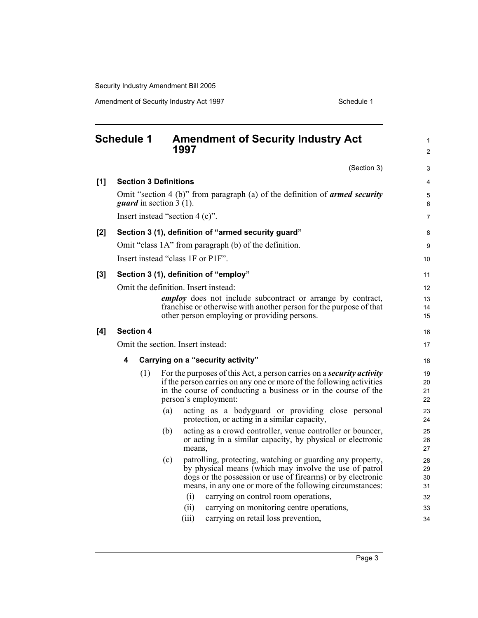<span id="page-14-0"></span>

|       | <b>Schedule 1</b> |                                                                    |                                  | <b>Amendment of Security Industry Act</b><br>1997                                                                    | 1<br>$\overline{2}$ |  |  |  |
|-------|-------------------|--------------------------------------------------------------------|----------------------------------|----------------------------------------------------------------------------------------------------------------------|---------------------|--|--|--|
|       |                   |                                                                    |                                  | (Section 3)                                                                                                          | 3                   |  |  |  |
| [1]   |                   |                                                                    | <b>Section 3 Definitions</b>     |                                                                                                                      | 4                   |  |  |  |
|       |                   |                                                                    | <i>guard</i> in section $3(1)$ . | Omit "section 4 (b)" from paragraph (a) of the definition of <b>armed security</b>                                   | 5<br>6              |  |  |  |
|       |                   |                                                                    |                                  | Insert instead "section $4(c)$ ".                                                                                    | $\overline{7}$      |  |  |  |
| [2]   |                   |                                                                    |                                  | Section 3 (1), definition of "armed security guard"                                                                  | 8                   |  |  |  |
|       |                   |                                                                    |                                  | Omit "class 1A" from paragraph (b) of the definition.                                                                | 9                   |  |  |  |
|       |                   |                                                                    |                                  | Insert instead "class 1F or P1F".                                                                                    | 10                  |  |  |  |
| $[3]$ |                   |                                                                    |                                  | Section 3 (1), definition of "employ"                                                                                | 11                  |  |  |  |
|       |                   |                                                                    |                                  | Omit the definition. Insert instead:                                                                                 | 12                  |  |  |  |
|       |                   | <i>employ</i> does not include subcontract or arrange by contract, |                                  |                                                                                                                      |                     |  |  |  |
|       |                   |                                                                    |                                  | franchise or otherwise with another person for the purpose of that                                                   | 14                  |  |  |  |
|       |                   |                                                                    |                                  | other person employing or providing persons.                                                                         | 15                  |  |  |  |
| [4]   |                   | <b>Section 4</b>                                                   |                                  |                                                                                                                      | 16                  |  |  |  |
|       |                   |                                                                    |                                  | Omit the section. Insert instead:                                                                                    | 17                  |  |  |  |
|       | 4                 |                                                                    |                                  | Carrying on a "security activity"                                                                                    | 18                  |  |  |  |
|       |                   | (1)                                                                |                                  | For the purposes of this Act, a person carries on a <i>security activity</i>                                         | 19                  |  |  |  |
|       |                   |                                                                    |                                  | if the person carries on any one or more of the following activities                                                 | 20                  |  |  |  |
|       |                   |                                                                    |                                  | in the course of conducting a business or in the course of the<br>person's employment:                               | 21<br>22            |  |  |  |
|       |                   |                                                                    | (a)                              | acting as a bodyguard or providing close personal                                                                    | 23                  |  |  |  |
|       |                   |                                                                    |                                  | protection, or acting in a similar capacity,                                                                         | 24                  |  |  |  |
|       |                   |                                                                    | (b)                              | acting as a crowd controller, venue controller or bouncer,                                                           | 25                  |  |  |  |
|       |                   |                                                                    |                                  | or acting in a similar capacity, by physical or electronic                                                           | 26                  |  |  |  |
|       |                   |                                                                    |                                  | means,                                                                                                               | 27                  |  |  |  |
|       |                   |                                                                    | (c)                              | patrolling, protecting, watching or guarding any property,<br>by physical means (which may involve the use of patrol | 28<br>29            |  |  |  |
|       |                   |                                                                    |                                  | dogs or the possession or use of firearms) or by electronic                                                          | 30                  |  |  |  |
|       |                   |                                                                    |                                  | means, in any one or more of the following circumstances:                                                            | 31                  |  |  |  |
|       |                   |                                                                    |                                  | (i)<br>carrying on control room operations,                                                                          | 32                  |  |  |  |
|       |                   |                                                                    |                                  | (ii)<br>carrying on monitoring centre operations,                                                                    | 33                  |  |  |  |
|       |                   |                                                                    |                                  | (iii)<br>carrying on retail loss prevention,                                                                         | 34                  |  |  |  |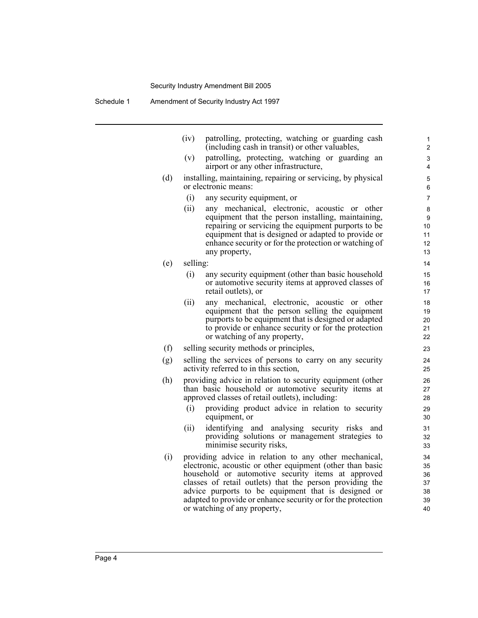(iv) patrolling, protecting, watching or guarding cash (including cash in transit) or other valuables,

- (v) patrolling, protecting, watching or guarding an airport or any other infrastructure,
- (d) installing, maintaining, repairing or servicing, by physical or electronic means:
	- (i) any security equipment, or
	- (ii) any mechanical, electronic, acoustic or other equipment that the person installing, maintaining, repairing or servicing the equipment purports to be equipment that is designed or adapted to provide or enhance security or for the protection or watching of any property,
- (e) selling:
	- (i) any security equipment (other than basic household or automotive security items at approved classes of retail outlets), or
	- (ii) any mechanical, electronic, acoustic or other equipment that the person selling the equipment purports to be equipment that is designed or adapted to provide or enhance security or for the protection or watching of any property,
- (f) selling security methods or principles,
- (g) selling the services of persons to carry on any security activity referred to in this section,
- (h) providing advice in relation to security equipment (other than basic household or automotive security items at approved classes of retail outlets), including:
	- (i) providing product advice in relation to security equipment, or
	- (ii) identifying and analysing security risks and providing solutions or management strategies to minimise security risks,
- (i) providing advice in relation to any other mechanical, electronic, acoustic or other equipment (other than basic household or automotive security items at approved classes of retail outlets) that the person providing the advice purports to be equipment that is designed or adapted to provide or enhance security or for the protection or watching of any property,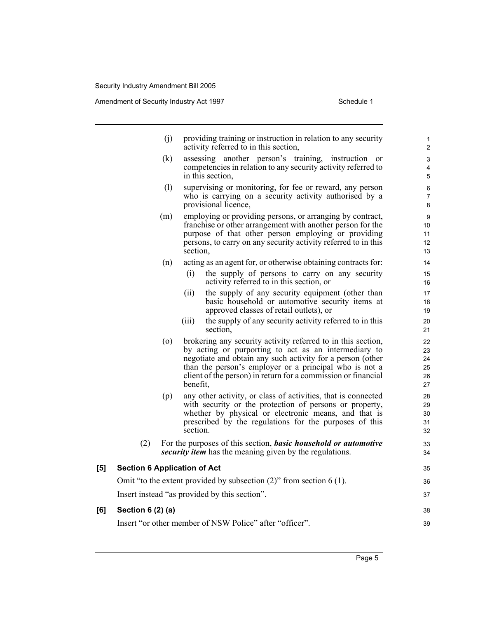Amendment of Security Industry Act 1997 **Schedule 1** Schedule 1

- (j) providing training or instruction in relation to any security activity referred to in this section,
- (k) assessing another person's training, instruction or competencies in relation to any security activity referred to in this section,
- (l) supervising or monitoring, for fee or reward, any person who is carrying on a security activity authorised by a provisional licence,
- (m) employing or providing persons, or arranging by contract, franchise or other arrangement with another person for the purpose of that other person employing or providing persons, to carry on any security activity referred to in this section,
- (n) acting as an agent for, or otherwise obtaining contracts for:
	- (i) the supply of persons to carry on any security activity referred to in this section, or
	- (ii) the supply of any security equipment (other than basic household or automotive security items at approved classes of retail outlets), or
	- (iii) the supply of any security activity referred to in this section,
- (o) brokering any security activity referred to in this section, by acting or purporting to act as an intermediary to negotiate and obtain any such activity for a person (other than the person's employer or a principal who is not a client of the person) in return for a commission or financial benefit,
- (p) any other activity, or class of activities, that is connected with security or the protection of persons or property, whether by physical or electronic means, and that is prescribed by the regulations for the purposes of this section.
- (2) For the purposes of this section, *basic household or automotive security item* has the meaning given by the regulations.

#### **[5] Section 6 Application of Act**

Omit "to the extent provided by subsection (2)" from section 6 (1). Insert instead "as provided by this section".

#### **[6] Section 6 (2) (a)**

Insert "or other member of NSW Police" after "officer".

38 39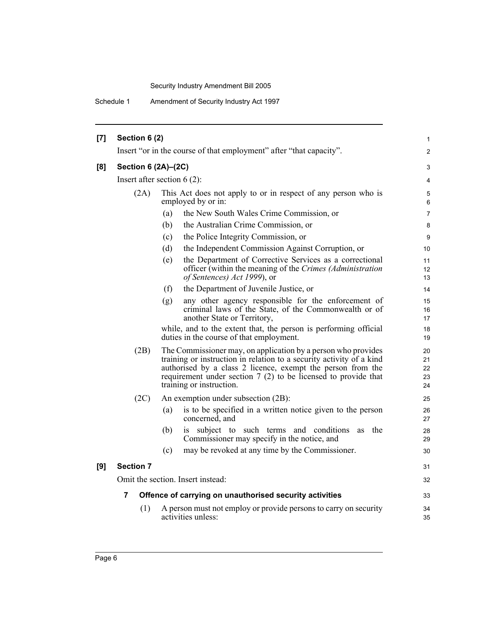Schedule 1 Amendment of Security Industry Act 1997

| $[7]$ | Section 6 (2)                 |                                                                                                                                                                                                                                                                                                     | $\mathbf{1}$               |  |  |  |  |  |
|-------|-------------------------------|-----------------------------------------------------------------------------------------------------------------------------------------------------------------------------------------------------------------------------------------------------------------------------------------------------|----------------------------|--|--|--|--|--|
|       |                               | Insert "or in the course of that employment" after "that capacity".                                                                                                                                                                                                                                 |                            |  |  |  |  |  |
| [8]   | Section 6 (2A)-(2C)           |                                                                                                                                                                                                                                                                                                     | 3                          |  |  |  |  |  |
|       | Insert after section $6(2)$ : |                                                                                                                                                                                                                                                                                                     |                            |  |  |  |  |  |
|       | (2A)                          | This Act does not apply to or in respect of any person who is<br>employed by or in:                                                                                                                                                                                                                 |                            |  |  |  |  |  |
|       |                               | the New South Wales Crime Commission, or<br>(a)                                                                                                                                                                                                                                                     | $\overline{7}$             |  |  |  |  |  |
|       |                               | (b)<br>the Australian Crime Commission, or                                                                                                                                                                                                                                                          | 8                          |  |  |  |  |  |
|       |                               | the Police Integrity Commission, or<br>(c)                                                                                                                                                                                                                                                          | 9                          |  |  |  |  |  |
|       |                               | (d)<br>the Independent Commission Against Corruption, or                                                                                                                                                                                                                                            | 10                         |  |  |  |  |  |
|       |                               | the Department of Corrective Services as a correctional<br>(e)<br>officer (within the meaning of the Crimes (Administration<br>of Sentences) Act 1999), or                                                                                                                                          | 11<br>12<br>13             |  |  |  |  |  |
|       |                               | the Department of Juvenile Justice, or<br>(f)                                                                                                                                                                                                                                                       | 14                         |  |  |  |  |  |
|       |                               | any other agency responsible for the enforcement of<br>(g)<br>criminal laws of the State, of the Commonwealth or of<br>another State or Territory,                                                                                                                                                  | 15<br>16<br>17             |  |  |  |  |  |
|       |                               | while, and to the extent that, the person is performing official<br>duties in the course of that employment.                                                                                                                                                                                        | 18<br>19                   |  |  |  |  |  |
|       | (2B)                          | The Commissioner may, on application by a person who provides<br>training or instruction in relation to a security activity of a kind<br>authorised by a class 2 licence, exempt the person from the<br>requirement under section $7(2)$ to be licensed to provide that<br>training or instruction. | 20<br>21<br>22<br>23<br>24 |  |  |  |  |  |
|       | (2C)                          | An exemption under subsection (2B):                                                                                                                                                                                                                                                                 | 25                         |  |  |  |  |  |
|       |                               | is to be specified in a written notice given to the person<br>(a)<br>concerned, and                                                                                                                                                                                                                 | 26<br>27                   |  |  |  |  |  |
|       |                               | is subject to such terms and conditions<br>the<br>(b)<br>as<br>Commissioner may specify in the notice, and                                                                                                                                                                                          | 28<br>29                   |  |  |  |  |  |
|       |                               | may be revoked at any time by the Commissioner.<br>(c)                                                                                                                                                                                                                                              | 30                         |  |  |  |  |  |
| [9]   | <b>Section 7</b>              |                                                                                                                                                                                                                                                                                                     | 31                         |  |  |  |  |  |
|       |                               | Omit the section. Insert instead:                                                                                                                                                                                                                                                                   | 32                         |  |  |  |  |  |
|       | 7                             | Offence of carrying on unauthorised security activities                                                                                                                                                                                                                                             | 33                         |  |  |  |  |  |
|       | (1)                           | A person must not employ or provide persons to carry on security<br>activities unless:                                                                                                                                                                                                              | 34<br>35                   |  |  |  |  |  |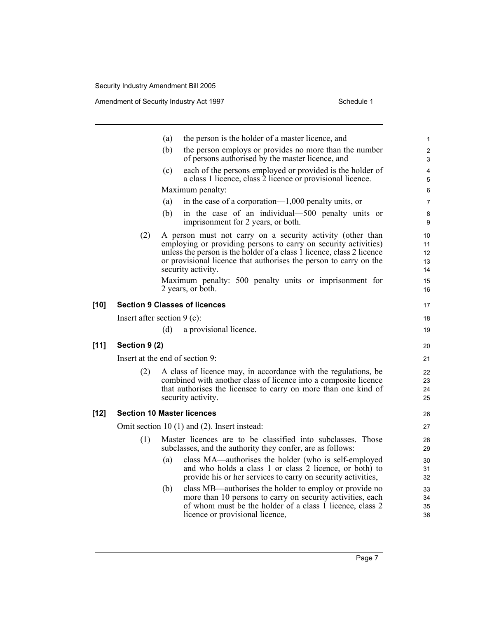|        |                                      | (a)                | the person is the holder of a master licence, and                                                                                                                                                                                                                           | $\mathbf{1}$               |
|--------|--------------------------------------|--------------------|-----------------------------------------------------------------------------------------------------------------------------------------------------------------------------------------------------------------------------------------------------------------------------|----------------------------|
|        |                                      | (b)                | the person employs or provides no more than the number<br>of persons authorised by the master licence, and                                                                                                                                                                  | 2<br>3                     |
|        |                                      | (c)                | each of the persons employed or provided is the holder of<br>a class 1 licence, class 2 licence or provisional licence.                                                                                                                                                     | 4<br>5                     |
|        |                                      |                    | Maximum penalty:                                                                                                                                                                                                                                                            | 6                          |
|        |                                      | (a)                | in the case of a corporation— $1,000$ penalty units, or                                                                                                                                                                                                                     | $\overline{7}$             |
|        |                                      | (b)                | in the case of an individual—500 penalty units or<br>imprisonment for 2 years, or both.                                                                                                                                                                                     | 8<br>9                     |
|        | (2)                                  | security activity. | A person must not carry on a security activity (other than<br>employing or providing persons to carry on security activities)<br>unless the person is the holder of a class 1 licence, class 2 licence<br>or provisional licence that authorises the person to carry on the | 10<br>11<br>12<br>13<br>14 |
|        |                                      | 2 years, or both.  | Maximum penalty: 500 penalty units or imprisonment for                                                                                                                                                                                                                      | 15<br>16                   |
| $[10]$ | <b>Section 9 Classes of licences</b> |                    |                                                                                                                                                                                                                                                                             | 17                         |
|        | Insert after section $9$ (c):        |                    |                                                                                                                                                                                                                                                                             | 18                         |
|        |                                      | (d)                | a provisional licence.                                                                                                                                                                                                                                                      | 19                         |
| $[11]$ | Section 9 (2)                        |                    |                                                                                                                                                                                                                                                                             | 20                         |
|        | Insert at the end of section 9:      |                    |                                                                                                                                                                                                                                                                             | 21                         |
|        | (2)                                  | security activity. | A class of licence may, in accordance with the regulations, be<br>combined with another class of licence into a composite licence<br>that authorises the licensee to carry on more than one kind of                                                                         | 22<br>23<br>24<br>25       |
| $[12]$ | <b>Section 10 Master licences</b>    |                    |                                                                                                                                                                                                                                                                             | 26                         |
|        |                                      |                    | Omit section 10 (1) and (2). Insert instead:                                                                                                                                                                                                                                | 27                         |
|        | (1)                                  |                    | Master licences are to be classified into subclasses. Those<br>subclasses, and the authority they confer, are as follows:                                                                                                                                                   | 28<br>29                   |
|        |                                      | (a)                | class MA—authorises the holder (who is self-employed<br>and who holds a class 1 or class 2 licence, or both) to<br>provide his or her services to carry on security activities,                                                                                             | 30<br>31<br>32             |
|        |                                      | (b)                | class MB—authorises the holder to employ or provide no<br>more than 10 persons to carry on security activities, each<br>of whom must be the holder of a class 1 licence, class 2<br>licence or provisional licence,                                                         | 33<br>34<br>35<br>36       |
|        |                                      |                    |                                                                                                                                                                                                                                                                             |                            |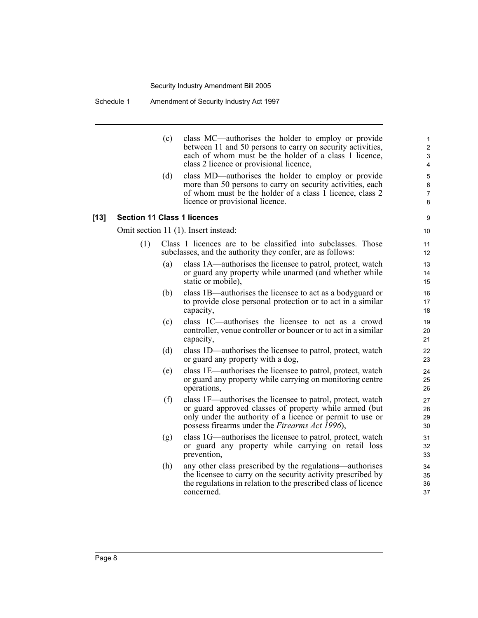Schedule 1 Amendment of Security Industry Act 1997

(c) class MC—authorises the holder to employ or provide between 11 and 50 persons to carry on security activities, each of whom must be the holder of a class 1 licence, class 2 licence or provisional licence, (d) class MD—authorises the holder to employ or provide more than 50 persons to carry on security activities, each of whom must be the holder of a class 1 licence, class 2 licence or provisional licence. **[13] Section 11 Class 1 licences** Omit section 11 (1). Insert instead: (1) Class 1 licences are to be classified into subclasses. Those subclasses, and the authority they confer, are as follows: (a) class 1A—authorises the licensee to patrol, protect, watch or guard any property while unarmed (and whether while static or mobile), (b) class 1B—authorises the licensee to act as a bodyguard or to provide close personal protection or to act in a similar capacity, (c) class 1C—authorises the licensee to act as a crowd controller, venue controller or bouncer or to act in a similar capacity, (d) class 1D—authorises the licensee to patrol, protect, watch or guard any property with a dog, (e) class 1E—authorises the licensee to patrol, protect, watch or guard any property while carrying on monitoring centre operations, (f) class 1F—authorises the licensee to patrol, protect, watch or guard approved classes of property while armed (but only under the authority of a licence or permit to use or possess firearms under the *Firearms Act 1996*), (g) class 1G—authorises the licensee to patrol, protect, watch or guard any property while carrying on retail loss prevention, (h) any other class prescribed by the regulations—authorises the licensee to carry on the security activity prescribed by the regulations in relation to the prescribed class of licence concerned. 1 2 3 4 5 6 7 8 9 10 11 12 13 14 15 16 17 18 19 20 21 22 23 24 25 26 27 28 29 30 31 32 33  $34$ 35 36 37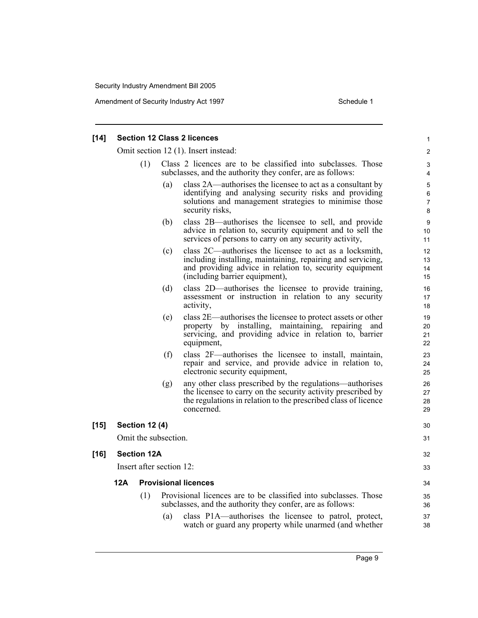| Schedule 1 |  |
|------------|--|
|            |  |

|     |     |     |                                                                                                                                                                                                                     | 1                                                                                                                                                                                                                                                                                               |  |  |  |
|-----|-----|-----|---------------------------------------------------------------------------------------------------------------------------------------------------------------------------------------------------------------------|-------------------------------------------------------------------------------------------------------------------------------------------------------------------------------------------------------------------------------------------------------------------------------------------------|--|--|--|
|     |     |     |                                                                                                                                                                                                                     |                                                                                                                                                                                                                                                                                                 |  |  |  |
|     | (1) |     | Class 2 licences are to be classified into subclasses. Those<br>subclasses, and the authority they confer, are as follows:                                                                                          |                                                                                                                                                                                                                                                                                                 |  |  |  |
|     |     | (a) | class 2A—authorises the licensee to act as a consultant by<br>identifying and analysing security risks and providing<br>solutions and management strategies to minimise those<br>security risks,                    | 5<br>6<br>$\overline{7}$<br>8                                                                                                                                                                                                                                                                   |  |  |  |
|     |     | (b) | class 2B—authorises the licensee to sell, and provide<br>advice in relation to, security equipment and to sell the<br>services of persons to carry on any security activity,                                        | 9<br>10<br>11                                                                                                                                                                                                                                                                                   |  |  |  |
|     |     | (c) | class 2C—authorises the licensee to act as a locksmith,<br>including installing, maintaining, repairing and servicing,<br>and providing advice in relation to, security equipment<br>(including barrier equipment), | 12<br>13<br>14<br>15                                                                                                                                                                                                                                                                            |  |  |  |
|     |     | (d) | class 2D—authorises the licensee to provide training,<br>assessment or instruction in relation to any security<br>activity,                                                                                         | 16<br>17<br>18                                                                                                                                                                                                                                                                                  |  |  |  |
|     |     | (e) | class 2E—authorises the licensee to protect assets or other<br>property by installing, maintaining, repairing and<br>servicing, and providing advice in relation to, barrier<br>equipment,                          | 19<br>20<br>21<br>22                                                                                                                                                                                                                                                                            |  |  |  |
|     |     | (f) | class 2F—authorises the licensee to install, maintain,<br>repair and service, and provide advice in relation to,<br>electronic security equipment,                                                                  | 23<br>24<br>25                                                                                                                                                                                                                                                                                  |  |  |  |
|     |     | (g) | any other class prescribed by the regulations—authorises<br>the licensee to carry on the security activity prescribed by<br>the regulations in relation to the prescribed class of licence<br>concerned.            | 26<br>27<br>28<br>29                                                                                                                                                                                                                                                                            |  |  |  |
|     |     |     |                                                                                                                                                                                                                     | 30                                                                                                                                                                                                                                                                                              |  |  |  |
|     |     |     |                                                                                                                                                                                                                     | 31                                                                                                                                                                                                                                                                                              |  |  |  |
|     |     |     |                                                                                                                                                                                                                     | 32                                                                                                                                                                                                                                                                                              |  |  |  |
|     |     |     |                                                                                                                                                                                                                     |                                                                                                                                                                                                                                                                                                 |  |  |  |
| 12A |     |     |                                                                                                                                                                                                                     | 34                                                                                                                                                                                                                                                                                              |  |  |  |
|     | (1) |     |                                                                                                                                                                                                                     | 35<br>36                                                                                                                                                                                                                                                                                        |  |  |  |
|     |     | (a) | class P1A—authorises the licensee to patrol, protect,<br>watch or guard any property while unarmed (and whether                                                                                                     | 37<br>38                                                                                                                                                                                                                                                                                        |  |  |  |
|     |     |     | <b>Section 12 (4)</b><br><b>Section 12A</b>                                                                                                                                                                         | <b>Section 12 Class 2 licences</b><br>Omit section 12 (1). Insert instead:<br>Omit the subsection.<br>Insert after section 12:<br><b>Provisional licences</b><br>Provisional licences are to be classified into subclasses. Those<br>subclasses, and the authority they confer, are as follows: |  |  |  |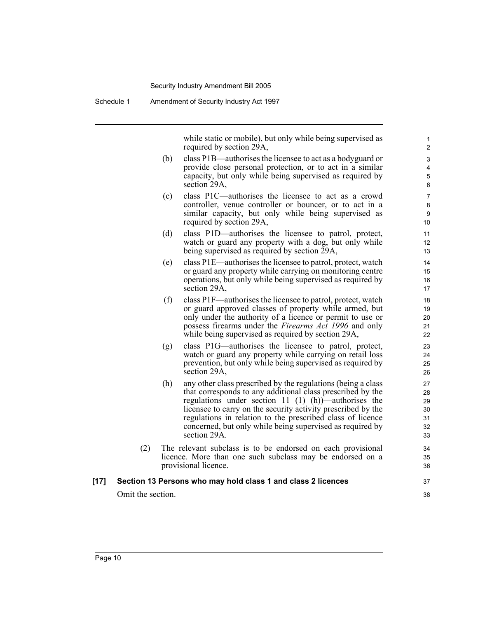Schedule 1 Amendment of Security Industry Act 1997

while static or mobile), but only while being supervised as required by section 29A,

37 38

- (b) class P1B—authorises the licensee to act as a bodyguard or provide close personal protection, or to act in a similar capacity, but only while being supervised as required by section 29A,
- (c) class P1C—authorises the licensee to act as a crowd controller, venue controller or bouncer, or to act in a similar capacity, but only while being supervised as required by section 29A,
- (d) class P1D—authorises the licensee to patrol, protect, watch or guard any property with a dog, but only while being supervised as required by section 29A,
- (e) class P1E—authorises the licensee to patrol, protect, watch or guard any property while carrying on monitoring centre operations, but only while being supervised as required by section 29A,
- (f) class P1F—authorises the licensee to patrol, protect, watch or guard approved classes of property while armed, but only under the authority of a licence or permit to use or possess firearms under the *Firearms Act 1996* and only while being supervised as required by section 29A,
- (g) class P1G—authorises the licensee to patrol, protect, watch or guard any property while carrying on retail loss prevention, but only while being supervised as required by section 29A,
- (h) any other class prescribed by the regulations (being a class that corresponds to any additional class prescribed by the regulations under section 11 (1) (h))—authorises the licensee to carry on the security activity prescribed by the regulations in relation to the prescribed class of licence concerned, but only while being supervised as required by section 29A.
- (2) The relevant subclass is to be endorsed on each provisional licence. More than one such subclass may be endorsed on a provisional licence.

#### **[17] Section 13 Persons who may hold class 1 and class 2 licences**

Omit the section.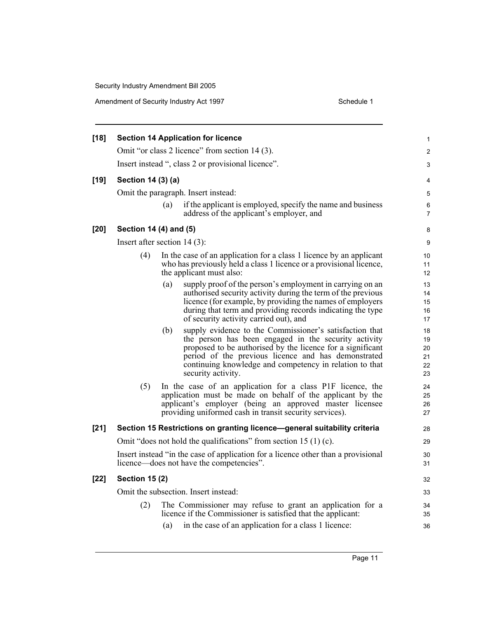| <b>Section 14 Application for licence</b> |     |                                                                                                                                                                                                                                                                                                                       |                                                                                                                                                                                                                                                                                                                                                                                                                                                                                                                                                                                                                                                                                                                                                                                                                                                                                                                                                                                    |
|-------------------------------------------|-----|-----------------------------------------------------------------------------------------------------------------------------------------------------------------------------------------------------------------------------------------------------------------------------------------------------------------------|------------------------------------------------------------------------------------------------------------------------------------------------------------------------------------------------------------------------------------------------------------------------------------------------------------------------------------------------------------------------------------------------------------------------------------------------------------------------------------------------------------------------------------------------------------------------------------------------------------------------------------------------------------------------------------------------------------------------------------------------------------------------------------------------------------------------------------------------------------------------------------------------------------------------------------------------------------------------------------|
|                                           |     |                                                                                                                                                                                                                                                                                                                       | $\overline{c}$                                                                                                                                                                                                                                                                                                                                                                                                                                                                                                                                                                                                                                                                                                                                                                                                                                                                                                                                                                     |
|                                           |     |                                                                                                                                                                                                                                                                                                                       | 3                                                                                                                                                                                                                                                                                                                                                                                                                                                                                                                                                                                                                                                                                                                                                                                                                                                                                                                                                                                  |
|                                           |     |                                                                                                                                                                                                                                                                                                                       | 4                                                                                                                                                                                                                                                                                                                                                                                                                                                                                                                                                                                                                                                                                                                                                                                                                                                                                                                                                                                  |
|                                           |     |                                                                                                                                                                                                                                                                                                                       | 5                                                                                                                                                                                                                                                                                                                                                                                                                                                                                                                                                                                                                                                                                                                                                                                                                                                                                                                                                                                  |
|                                           | (a) | if the applicant is employed, specify the name and business<br>address of the applicant's employer, and                                                                                                                                                                                                               | 6<br>7                                                                                                                                                                                                                                                                                                                                                                                                                                                                                                                                                                                                                                                                                                                                                                                                                                                                                                                                                                             |
|                                           |     |                                                                                                                                                                                                                                                                                                                       | 8                                                                                                                                                                                                                                                                                                                                                                                                                                                                                                                                                                                                                                                                                                                                                                                                                                                                                                                                                                                  |
|                                           |     |                                                                                                                                                                                                                                                                                                                       | 9                                                                                                                                                                                                                                                                                                                                                                                                                                                                                                                                                                                                                                                                                                                                                                                                                                                                                                                                                                                  |
| (4)                                       |     |                                                                                                                                                                                                                                                                                                                       | 10<br>11<br>12                                                                                                                                                                                                                                                                                                                                                                                                                                                                                                                                                                                                                                                                                                                                                                                                                                                                                                                                                                     |
|                                           | (a) | supply proof of the person's employment in carrying on an<br>authorised security activity during the term of the previous<br>licence (for example, by providing the names of employers<br>during that term and providing records indicating the type<br>of security activity carried out), and                        | 13<br>14<br>15<br>16<br>17                                                                                                                                                                                                                                                                                                                                                                                                                                                                                                                                                                                                                                                                                                                                                                                                                                                                                                                                                         |
|                                           | (b) | supply evidence to the Commissioner's satisfaction that<br>the person has been engaged in the security activity<br>proposed to be authorised by the licence for a significant<br>period of the previous licence and has demonstrated<br>continuing knowledge and competency in relation to that<br>security activity. | 18<br>19<br>20<br>21<br>22<br>23                                                                                                                                                                                                                                                                                                                                                                                                                                                                                                                                                                                                                                                                                                                                                                                                                                                                                                                                                   |
| (5)                                       |     |                                                                                                                                                                                                                                                                                                                       | 24<br>25<br>26<br>27                                                                                                                                                                                                                                                                                                                                                                                                                                                                                                                                                                                                                                                                                                                                                                                                                                                                                                                                                               |
|                                           |     |                                                                                                                                                                                                                                                                                                                       | 28                                                                                                                                                                                                                                                                                                                                                                                                                                                                                                                                                                                                                                                                                                                                                                                                                                                                                                                                                                                 |
|                                           |     |                                                                                                                                                                                                                                                                                                                       | 29                                                                                                                                                                                                                                                                                                                                                                                                                                                                                                                                                                                                                                                                                                                                                                                                                                                                                                                                                                                 |
|                                           |     |                                                                                                                                                                                                                                                                                                                       | 30<br>31                                                                                                                                                                                                                                                                                                                                                                                                                                                                                                                                                                                                                                                                                                                                                                                                                                                                                                                                                                           |
|                                           |     |                                                                                                                                                                                                                                                                                                                       | 32                                                                                                                                                                                                                                                                                                                                                                                                                                                                                                                                                                                                                                                                                                                                                                                                                                                                                                                                                                                 |
|                                           |     |                                                                                                                                                                                                                                                                                                                       | 33                                                                                                                                                                                                                                                                                                                                                                                                                                                                                                                                                                                                                                                                                                                                                                                                                                                                                                                                                                                 |
|                                           |     | The Commissioner may refuse to grant an application for a                                                                                                                                                                                                                                                             |                                                                                                                                                                                                                                                                                                                                                                                                                                                                                                                                                                                                                                                                                                                                                                                                                                                                                                                                                                                    |
|                                           |     | <b>Section 15 (2)</b><br>(2)                                                                                                                                                                                                                                                                                          | Omit "or class 2 licence" from section 14 (3).<br>Insert instead ", class 2 or provisional licence".<br>Section 14 (3) (a)<br>Omit the paragraph. Insert instead:<br>Section 14 (4) and (5)<br>Insert after section $14(3)$ :<br>In the case of an application for a class 1 licence by an applicant<br>who has previously held a class 1 licence or a provisional licence,<br>the applicant must also:<br>In the case of an application for a class P1F licence, the<br>application must be made on behalf of the applicant by the<br>applicant's employer (being an approved master licensee<br>providing uniformed cash in transit security services).<br>Section 15 Restrictions on granting licence-general suitability criteria<br>Omit "does not hold the qualifications" from section 15 (1) (c).<br>Insert instead "in the case of application for a licence other than a provisional<br>licence—does not have the competencies".<br>Omit the subsection. Insert instead: |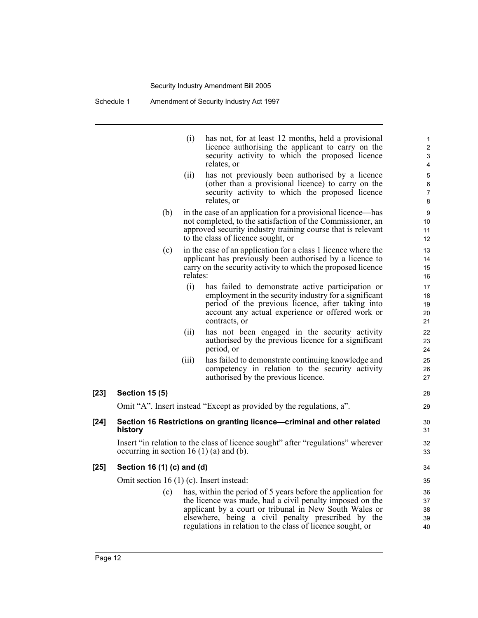Schedule 1 Amendment of Security Industry Act 1997

|        |                                            | (i)      | has not, for at least 12 months, held a provisional<br>licence authorising the applicant to carry on the<br>security activity to which the proposed licence<br>relates, or                                                                                                                             | 1<br>$\overline{c}$<br>3<br>4 |
|--------|--------------------------------------------|----------|--------------------------------------------------------------------------------------------------------------------------------------------------------------------------------------------------------------------------------------------------------------------------------------------------------|-------------------------------|
|        |                                            | (ii)     | has not previously been authorised by a licence<br>(other than a provisional licence) to carry on the<br>security activity to which the proposed licence<br>relates, or                                                                                                                                | 5<br>6<br>$\overline{7}$<br>8 |
|        | (b)                                        |          | in the case of an application for a provisional licence—has<br>not completed, to the satisfaction of the Commissioner, an<br>approved security industry training course that is relevant<br>to the class of licence sought, or                                                                         | 9<br>10<br>11<br>12           |
|        | (c)                                        | relates: | in the case of an application for a class 1 licence where the<br>applicant has previously been authorised by a licence to<br>carry on the security activity to which the proposed licence                                                                                                              | 13<br>14<br>15<br>16          |
|        |                                            | (i)      | has failed to demonstrate active participation or<br>employment in the security industry for a significant<br>period of the previous licence, after taking into<br>account any actual experience or offered work or<br>contracts, or                                                                   | 17<br>18<br>19<br>20<br>21    |
|        |                                            | (ii)     | has not been engaged in the security activity<br>authorised by the previous licence for a significant<br>period, or                                                                                                                                                                                    | 22<br>23<br>24                |
|        |                                            | (iii)    | has failed to demonstrate continuing knowledge and<br>competency in relation to the security activity<br>authorised by the previous licence.                                                                                                                                                           | 25<br>26<br>27                |
| $[23]$ | <b>Section 15 (5)</b>                      |          |                                                                                                                                                                                                                                                                                                        | 28                            |
|        |                                            |          | Omit "A". Insert instead "Except as provided by the regulations, a".                                                                                                                                                                                                                                   | 29                            |
| $[24]$ | history                                    |          | Section 16 Restrictions on granting licence-criminal and other related                                                                                                                                                                                                                                 | 30<br>31                      |
|        | occurring in section 16 $(1)$ (a) and (b). |          | Insert "in relation to the class of licence sought" after "regulations" wherever                                                                                                                                                                                                                       | 32<br>33                      |
| $[25]$ | Section 16 (1) (c) and (d)                 |          |                                                                                                                                                                                                                                                                                                        | 34                            |
|        | Omit section 16 $(1)$ (c). Insert instead: |          |                                                                                                                                                                                                                                                                                                        | 35                            |
|        | (c)                                        |          | has, within the period of 5 years before the application for<br>the licence was made, had a civil penalty imposed on the<br>applicant by a court or tribunal in New South Wales or<br>elsewhere, being a civil penalty prescribed by the<br>regulations in relation to the class of licence sought, or | 36<br>37<br>38<br>39<br>40    |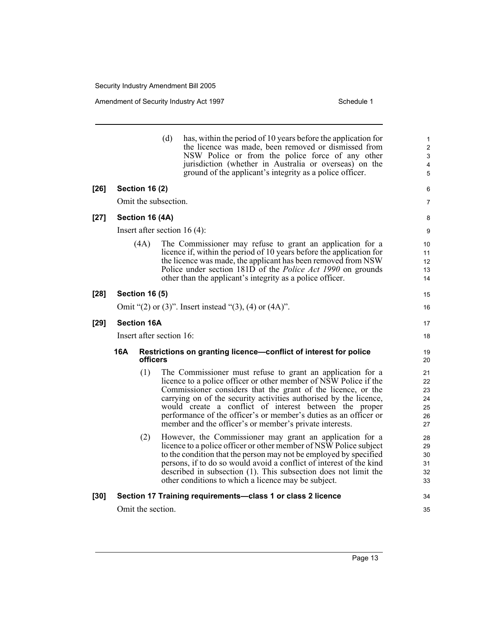|        |                        |                          | (d) | has, within the period of 10 years before the application for<br>the licence was made, been removed or dismissed from<br>NSW Police or from the police force of any other<br>jurisdiction (whether in Australia or overseas) on the<br>ground of the applicant's integrity as a police officer.                                                                                                                                                              | $\mathbf{1}$<br>$\overline{c}$<br>3<br>4<br>5 |
|--------|------------------------|--------------------------|-----|--------------------------------------------------------------------------------------------------------------------------------------------------------------------------------------------------------------------------------------------------------------------------------------------------------------------------------------------------------------------------------------------------------------------------------------------------------------|-----------------------------------------------|
| $[26]$ |                        | <b>Section 16 (2)</b>    |     |                                                                                                                                                                                                                                                                                                                                                                                                                                                              | 6                                             |
|        |                        | Omit the subsection.     |     |                                                                                                                                                                                                                                                                                                                                                                                                                                                              | 7                                             |
| $[27]$ |                        | Section 16 (4A)          |     |                                                                                                                                                                                                                                                                                                                                                                                                                                                              | 8                                             |
|        |                        |                          |     | Insert after section $16(4)$ :                                                                                                                                                                                                                                                                                                                                                                                                                               | 9                                             |
|        |                        | (4A)                     |     | The Commissioner may refuse to grant an application for a<br>licence if, within the period of 10 years before the application for<br>the licence was made, the applicant has been removed from NSW<br>Police under section 181D of the <i>Police Act 1990</i> on grounds<br>other than the applicant's integrity as a police officer.                                                                                                                        | 10<br>11<br>12<br>13<br>14                    |
| $[28]$ |                        | <b>Section 16 (5)</b>    |     |                                                                                                                                                                                                                                                                                                                                                                                                                                                              | 15                                            |
|        |                        |                          |     | Omit "(2) or (3)". Insert instead "(3), (4) or $(4A)$ ".                                                                                                                                                                                                                                                                                                                                                                                                     | 16                                            |
| [29]   |                        | <b>Section 16A</b>       |     |                                                                                                                                                                                                                                                                                                                                                                                                                                                              | 17                                            |
|        |                        | Insert after section 16: |     |                                                                                                                                                                                                                                                                                                                                                                                                                                                              | 18                                            |
|        | <b>16A</b><br>officers |                          |     | Restrictions on granting licence-conflict of interest for police                                                                                                                                                                                                                                                                                                                                                                                             | 19<br>20                                      |
|        |                        | (1)                      |     | The Commissioner must refuse to grant an application for a<br>licence to a police officer or other member of NSW Police if the<br>Commissioner considers that the grant of the licence, or the<br>carrying on of the security activities authorised by the licence,<br>would create a conflict of interest between the proper<br>performance of the officer's or member's duties as an officer or<br>member and the officer's or member's private interests. | 21<br>22<br>23<br>24<br>25<br>26<br>27        |
|        |                        | (2)                      |     | However, the Commissioner may grant an application for a<br>licence to a police officer or other member of NSW Police subject<br>to the condition that the person may not be employed by specified<br>persons, if to do so would avoid a conflict of interest of the kind<br>described in subsection (1). This subsection does not limit the<br>other conditions to which a licence may be subject.                                                          | 28<br>29<br>30<br>31<br>32<br>33              |
| [30]   |                        | Omit the section.        |     | Section 17 Training requirements-class 1 or class 2 licence                                                                                                                                                                                                                                                                                                                                                                                                  | 34<br>35                                      |
|        |                        |                          |     |                                                                                                                                                                                                                                                                                                                                                                                                                                                              |                                               |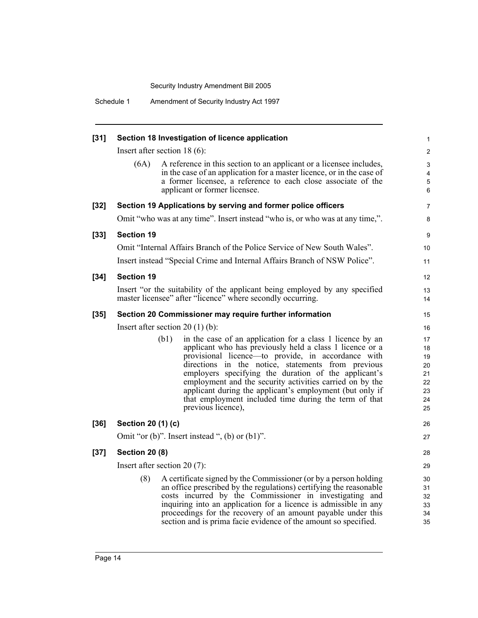Schedule 1 Amendment of Security Industry Act 1997

|                                   |                                                                                                                                                                                                                                                                                                                                                                                                                                                                                                  | 1                                                                                                                                                                                                                                                                                                                                                                                                                                                                                                                                                                                                                                                                                                                                                                                                                                                                                                                                                                                                                                                                                                                                                                                                                                                                                                                                                                                                                     |  |  |  |
|-----------------------------------|--------------------------------------------------------------------------------------------------------------------------------------------------------------------------------------------------------------------------------------------------------------------------------------------------------------------------------------------------------------------------------------------------------------------------------------------------------------------------------------------------|-----------------------------------------------------------------------------------------------------------------------------------------------------------------------------------------------------------------------------------------------------------------------------------------------------------------------------------------------------------------------------------------------------------------------------------------------------------------------------------------------------------------------------------------------------------------------------------------------------------------------------------------------------------------------------------------------------------------------------------------------------------------------------------------------------------------------------------------------------------------------------------------------------------------------------------------------------------------------------------------------------------------------------------------------------------------------------------------------------------------------------------------------------------------------------------------------------------------------------------------------------------------------------------------------------------------------------------------------------------------------------------------------------------------------|--|--|--|
|                                   |                                                                                                                                                                                                                                                                                                                                                                                                                                                                                                  | $\overline{\mathbf{c}}$                                                                                                                                                                                                                                                                                                                                                                                                                                                                                                                                                                                                                                                                                                                                                                                                                                                                                                                                                                                                                                                                                                                                                                                                                                                                                                                                                                                               |  |  |  |
| (6A)                              |                                                                                                                                                                                                                                                                                                                                                                                                                                                                                                  | 3<br>4<br>5<br>6                                                                                                                                                                                                                                                                                                                                                                                                                                                                                                                                                                                                                                                                                                                                                                                                                                                                                                                                                                                                                                                                                                                                                                                                                                                                                                                                                                                                      |  |  |  |
|                                   |                                                                                                                                                                                                                                                                                                                                                                                                                                                                                                  | 7                                                                                                                                                                                                                                                                                                                                                                                                                                                                                                                                                                                                                                                                                                                                                                                                                                                                                                                                                                                                                                                                                                                                                                                                                                                                                                                                                                                                                     |  |  |  |
|                                   |                                                                                                                                                                                                                                                                                                                                                                                                                                                                                                  | 8                                                                                                                                                                                                                                                                                                                                                                                                                                                                                                                                                                                                                                                                                                                                                                                                                                                                                                                                                                                                                                                                                                                                                                                                                                                                                                                                                                                                                     |  |  |  |
| <b>Section 19</b>                 |                                                                                                                                                                                                                                                                                                                                                                                                                                                                                                  | 9                                                                                                                                                                                                                                                                                                                                                                                                                                                                                                                                                                                                                                                                                                                                                                                                                                                                                                                                                                                                                                                                                                                                                                                                                                                                                                                                                                                                                     |  |  |  |
|                                   |                                                                                                                                                                                                                                                                                                                                                                                                                                                                                                  | 10                                                                                                                                                                                                                                                                                                                                                                                                                                                                                                                                                                                                                                                                                                                                                                                                                                                                                                                                                                                                                                                                                                                                                                                                                                                                                                                                                                                                                    |  |  |  |
|                                   |                                                                                                                                                                                                                                                                                                                                                                                                                                                                                                  | 11                                                                                                                                                                                                                                                                                                                                                                                                                                                                                                                                                                                                                                                                                                                                                                                                                                                                                                                                                                                                                                                                                                                                                                                                                                                                                                                                                                                                                    |  |  |  |
| <b>Section 19</b>                 |                                                                                                                                                                                                                                                                                                                                                                                                                                                                                                  | 12                                                                                                                                                                                                                                                                                                                                                                                                                                                                                                                                                                                                                                                                                                                                                                                                                                                                                                                                                                                                                                                                                                                                                                                                                                                                                                                                                                                                                    |  |  |  |
|                                   |                                                                                                                                                                                                                                                                                                                                                                                                                                                                                                  | 13<br>14                                                                                                                                                                                                                                                                                                                                                                                                                                                                                                                                                                                                                                                                                                                                                                                                                                                                                                                                                                                                                                                                                                                                                                                                                                                                                                                                                                                                              |  |  |  |
|                                   |                                                                                                                                                                                                                                                                                                                                                                                                                                                                                                  | 15                                                                                                                                                                                                                                                                                                                                                                                                                                                                                                                                                                                                                                                                                                                                                                                                                                                                                                                                                                                                                                                                                                                                                                                                                                                                                                                                                                                                                    |  |  |  |
| Insert after section $20(1)(b)$ : |                                                                                                                                                                                                                                                                                                                                                                                                                                                                                                  |                                                                                                                                                                                                                                                                                                                                                                                                                                                                                                                                                                                                                                                                                                                                                                                                                                                                                                                                                                                                                                                                                                                                                                                                                                                                                                                                                                                                                       |  |  |  |
|                                   | in the case of an application for a class 1 licence by an<br>applicant who has previously held a class 1 licence or a<br>provisional licence-to provide, in accordance with<br>directions in the notice, statements from previous<br>employers specifying the duration of the applicant's<br>employment and the security activities carried on by the<br>applicant during the applicant's employment (but only if<br>that employment included time during the term of that<br>previous licence), | 17<br>18<br>19<br>20<br>21<br>22<br>23<br>24<br>25                                                                                                                                                                                                                                                                                                                                                                                                                                                                                                                                                                                                                                                                                                                                                                                                                                                                                                                                                                                                                                                                                                                                                                                                                                                                                                                                                                    |  |  |  |
|                                   |                                                                                                                                                                                                                                                                                                                                                                                                                                                                                                  | 26                                                                                                                                                                                                                                                                                                                                                                                                                                                                                                                                                                                                                                                                                                                                                                                                                                                                                                                                                                                                                                                                                                                                                                                                                                                                                                                                                                                                                    |  |  |  |
|                                   |                                                                                                                                                                                                                                                                                                                                                                                                                                                                                                  | 27                                                                                                                                                                                                                                                                                                                                                                                                                                                                                                                                                                                                                                                                                                                                                                                                                                                                                                                                                                                                                                                                                                                                                                                                                                                                                                                                                                                                                    |  |  |  |
|                                   |                                                                                                                                                                                                                                                                                                                                                                                                                                                                                                  | 28                                                                                                                                                                                                                                                                                                                                                                                                                                                                                                                                                                                                                                                                                                                                                                                                                                                                                                                                                                                                                                                                                                                                                                                                                                                                                                                                                                                                                    |  |  |  |
|                                   |                                                                                                                                                                                                                                                                                                                                                                                                                                                                                                  | 29                                                                                                                                                                                                                                                                                                                                                                                                                                                                                                                                                                                                                                                                                                                                                                                                                                                                                                                                                                                                                                                                                                                                                                                                                                                                                                                                                                                                                    |  |  |  |
| (8)                               |                                                                                                                                                                                                                                                                                                                                                                                                                                                                                                  | 30<br>31<br>32<br>33<br>34<br>35                                                                                                                                                                                                                                                                                                                                                                                                                                                                                                                                                                                                                                                                                                                                                                                                                                                                                                                                                                                                                                                                                                                                                                                                                                                                                                                                                                                      |  |  |  |
|                                   |                                                                                                                                                                                                                                                                                                                                                                                                                                                                                                  | Section 18 Investigation of licence application<br>Insert after section $18(6)$ :<br>A reference in this section to an applicant or a licensee includes,<br>in the case of an application for a master licence, or in the case of<br>a former licensee, a reference to each close associate of the<br>applicant or former licensee.<br>Section 19 Applications by serving and former police officers<br>Omit "who was at any time". Insert instead "who is, or who was at any time,".<br>Omit "Internal Affairs Branch of the Police Service of New South Wales".<br>Insert instead "Special Crime and Internal Affairs Branch of NSW Police".<br>Insert "or the suitability of the applicant being employed by any specified<br>master licensee" after "licence" where secondly occurring.<br>Section 20 Commissioner may require further information<br>(b1)<br>Section 20 (1) (c)<br>Omit "or $(b)$ ". Insert instead ", $(b)$ or $(b1)$ ".<br><b>Section 20 (8)</b><br>Insert after section $20(7)$ :<br>A certificate signed by the Commissioner (or by a person holding<br>an office prescribed by the regulations) certifying the reasonable<br>costs incurred by the Commissioner in investigating and<br>inquiring into an application for a licence is admissible in any<br>proceedings for the recovery of an amount payable under this<br>section and is prima facie evidence of the amount so specified. |  |  |  |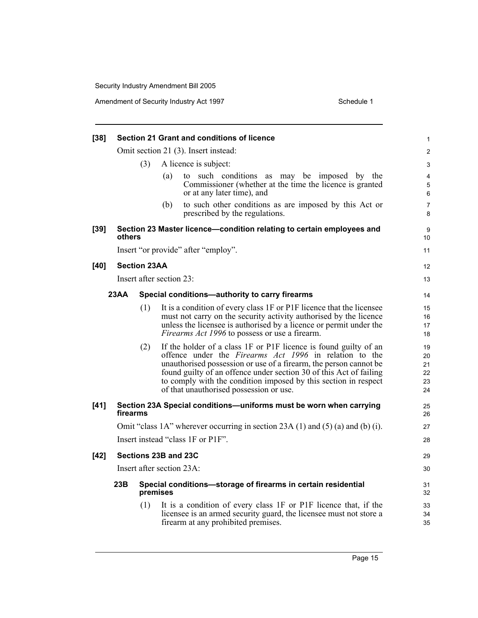Amendment of Security Industry Act 1997

| Schedule 1 |  |
|------------|--|

| $[38]$ |                                                                                    |                     |                           | Section 21 Grant and conditions of licence                                                                                                                                                                                                                                                                                                                                                 | 1                                |  |  |
|--------|------------------------------------------------------------------------------------|---------------------|---------------------------|--------------------------------------------------------------------------------------------------------------------------------------------------------------------------------------------------------------------------------------------------------------------------------------------------------------------------------------------------------------------------------------------|----------------------------------|--|--|
|        |                                                                                    |                     |                           | Omit section 21 (3). Insert instead:                                                                                                                                                                                                                                                                                                                                                       | $\overline{c}$                   |  |  |
|        |                                                                                    | (3)                 | A licence is subject:     |                                                                                                                                                                                                                                                                                                                                                                                            |                                  |  |  |
|        |                                                                                    |                     | (a)                       | to such conditions as may be imposed by the<br>Commissioner (whether at the time the licence is granted<br>or at any later time), and                                                                                                                                                                                                                                                      | 4<br>5<br>6                      |  |  |
|        |                                                                                    |                     | (b)                       | to such other conditions as are imposed by this Act or<br>prescribed by the regulations.                                                                                                                                                                                                                                                                                                   | 7<br>8                           |  |  |
| $[39]$ | others                                                                             |                     |                           | Section 23 Master licence-condition relating to certain employees and                                                                                                                                                                                                                                                                                                                      | 9<br>10                          |  |  |
|        |                                                                                    |                     |                           | Insert "or provide" after "employ".                                                                                                                                                                                                                                                                                                                                                        | 11                               |  |  |
| [40]   |                                                                                    | <b>Section 23AA</b> |                           |                                                                                                                                                                                                                                                                                                                                                                                            | 12                               |  |  |
|        |                                                                                    |                     | Insert after section 23:  |                                                                                                                                                                                                                                                                                                                                                                                            | 13                               |  |  |
|        | 23AA                                                                               |                     |                           | Special conditions-authority to carry firearms                                                                                                                                                                                                                                                                                                                                             | 14                               |  |  |
|        |                                                                                    | (1)                 |                           | It is a condition of every class 1F or P1F licence that the licensee<br>must not carry on the security activity authorised by the licence<br>unless the licensee is authorised by a licence or permit under the<br><i>Firearms Act 1996</i> to possess or use a firearm.                                                                                                                   | 15<br>16<br>17<br>18             |  |  |
|        |                                                                                    | (2)                 |                           | If the holder of a class 1F or P1F licence is found guilty of an<br>offence under the <i>Firearms Act 1996</i> in relation to the<br>unauthorised possession or use of a firearm, the person cannot be<br>found guilty of an offence under section 30 of this Act of failing<br>to comply with the condition imposed by this section in respect<br>of that unauthorised possession or use. | 19<br>20<br>21<br>22<br>23<br>24 |  |  |
| $[41]$ | firearms                                                                           |                     |                           | Section 23A Special conditions-uniforms must be worn when carrying                                                                                                                                                                                                                                                                                                                         | 25<br>26                         |  |  |
|        | Omit "class 1A" wherever occurring in section $23A(1)$ and $(5)(a)$ and $(b)(i)$ . |                     |                           |                                                                                                                                                                                                                                                                                                                                                                                            |                                  |  |  |
|        |                                                                                    |                     |                           | Insert instead "class 1F or P1F".                                                                                                                                                                                                                                                                                                                                                          | 28                               |  |  |
| $[42]$ |                                                                                    |                     | Sections 23B and 23C      |                                                                                                                                                                                                                                                                                                                                                                                            | 29                               |  |  |
|        |                                                                                    |                     | Insert after section 23A: |                                                                                                                                                                                                                                                                                                                                                                                            | 30                               |  |  |
|        | 23B                                                                                |                     | premises                  | Special conditions-storage of firearms in certain residential                                                                                                                                                                                                                                                                                                                              | 31<br>32                         |  |  |
|        |                                                                                    | (1)                 |                           | It is a condition of every class 1F or P1F licence that, if the<br>licensee is an armed security guard, the licensee must not store a<br>firearm at any prohibited premises.                                                                                                                                                                                                               | 33<br>34<br>35                   |  |  |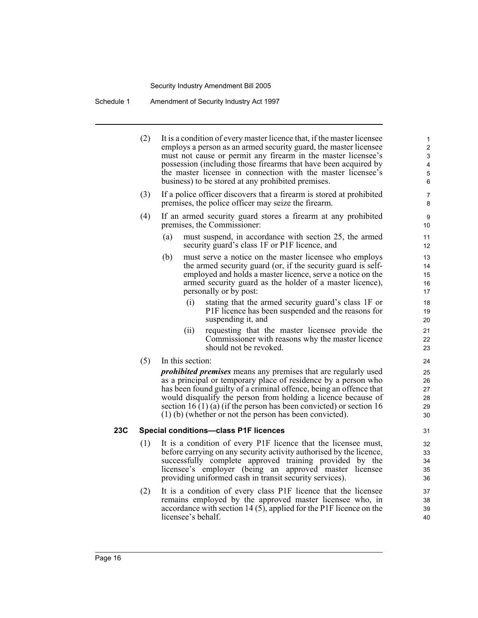Schedule 1 Amendment of Security Industry Act 1997

- (2) It is a condition of every master licence that, if the master licensee employs a person as an armed security guard, the master licensee must not cause or permit any firearm in the master licensee's possession (including those firearms that have been acquired by the master licensee in connection with the master licensee's business) to be stored at any prohibited premises. (3) If a police officer discovers that a firearm is stored at prohibited premises, the police officer may seize the firearm. (4) If an armed security guard stores a firearm at any prohibited premises, the Commissioner: (a) must suspend, in accordance with section 25, the armed security guard's class 1F or P1F licence, and (b) must serve a notice on the master licensee who employs the armed security guard (or, if the security guard is selfemployed and holds a master licence, serve a notice on the armed security guard as the holder of a master licence), personally or by post: (i) stating that the armed security guard's class 1F or P1F licence has been suspended and the reasons for suspending it, and (ii) requesting that the master licensee provide the Commissioner with reasons why the master licence should not be revoked. (5) In this section: *prohibited premises* means any premises that are regularly used as a principal or temporary place of residence by a person who has been found guilty of a criminal offence, being an offence that would disqualify the person from holding a licence because of section 16 (1) (a) (if the person has been convicted) or section 16 (1) (b) (whether or not the person has been convicted). **23C Special conditions—class P1F licences** (1) It is a condition of every P1F licence that the licensee must, before carrying on any security activity authorised by the licence, successfully complete approved training provided by the licensee's employer (being an approved master licensee providing uniformed cash in transit security services). 1 2 3 4 5 6 7 8 9 10 11 12 13 14 15 16 17 18 19 20 21 22 23 24 25 26 27 28 29 30 31 32 33 34 35 36
	- (2) It is a condition of every class P1F licence that the licensee remains employed by the approved master licensee who, in accordance with section 14 (5), applied for the P1F licence on the licensee's behalf.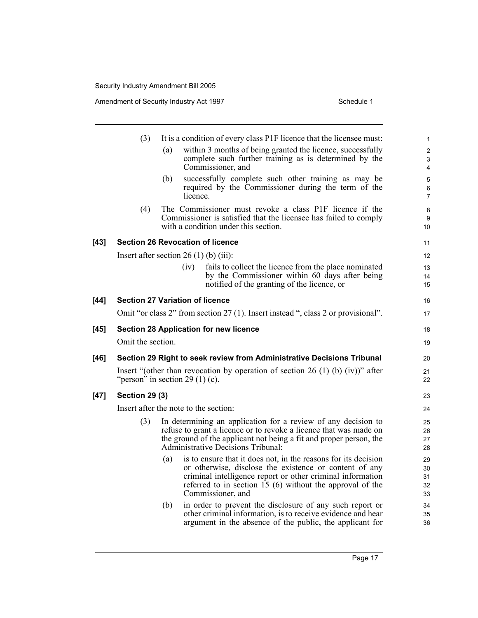|        | (3)                   |                                         | It is a condition of every class P1F licence that the licensee must:                                                                                                                                                                                                      | $\mathbf{1}$                      |
|--------|-----------------------|-----------------------------------------|---------------------------------------------------------------------------------------------------------------------------------------------------------------------------------------------------------------------------------------------------------------------------|-----------------------------------|
|        |                       | (a)                                     | within 3 months of being granted the licence, successfully<br>complete such further training as is determined by the<br>Commissioner, and                                                                                                                                 | $\overline{\mathbf{c}}$<br>3<br>4 |
|        |                       | (b)                                     | successfully complete such other training as may be<br>required by the Commissioner during the term of the<br>licence.                                                                                                                                                    | 5<br>6<br>7                       |
|        | (4)                   |                                         | The Commissioner must revoke a class P1F licence if the<br>Commissioner is satisfied that the licensee has failed to comply<br>with a condition under this section.                                                                                                       | 8<br>9<br>10                      |
| $[43]$ |                       |                                         | <b>Section 26 Revocation of licence</b>                                                                                                                                                                                                                                   | 11                                |
|        |                       | Insert after section $26(1)$ (b) (iii): |                                                                                                                                                                                                                                                                           | 12                                |
|        |                       | (iv)                                    | fails to collect the licence from the place nominated<br>by the Commissioner within 60 days after being<br>notified of the granting of the licence, or                                                                                                                    | 13<br>14<br>15                    |
| $[44]$ |                       | <b>Section 27 Variation of licence</b>  |                                                                                                                                                                                                                                                                           | 16                                |
|        |                       |                                         | Omit "or class 2" from section 27 (1). Insert instead ", class 2 or provisional".                                                                                                                                                                                         | 17                                |
| $[45]$ |                       |                                         | <b>Section 28 Application for new licence</b>                                                                                                                                                                                                                             | 18                                |
|        | Omit the section.     |                                         |                                                                                                                                                                                                                                                                           | 19                                |
| $[46]$ |                       |                                         | Section 29 Right to seek review from Administrative Decisions Tribunal                                                                                                                                                                                                    | 20                                |
|        |                       | "person" in section 29 (1) (c).         | Insert "(other than revocation by operation of section 26 (1) (b) (iv))" after                                                                                                                                                                                            | 21<br>22                          |
| $[47]$ | <b>Section 29 (3)</b> |                                         |                                                                                                                                                                                                                                                                           | 23                                |
|        |                       | Insert after the note to the section:   |                                                                                                                                                                                                                                                                           | 24                                |
|        | (3)                   |                                         | In determining an application for a review of any decision to<br>refuse to grant a licence or to revoke a licence that was made on<br>the ground of the applicant not being a fit and proper person, the<br>Administrative Decisions Tribunal:                            | 25<br>26<br>27<br>28              |
|        |                       | (a)                                     | is to ensure that it does not, in the reasons for its decision<br>or otherwise, disclose the existence or content of any<br>criminal intelligence report or other criminal information<br>referred to in section $15(6)$ without the approval of the<br>Commissioner, and | 29<br>30<br>31<br>32<br>33        |
|        |                       | (b)                                     | in order to prevent the disclosure of any such report or<br>other criminal information, is to receive evidence and hear<br>argument in the absence of the public, the applicant for                                                                                       | 34<br>35<br>36                    |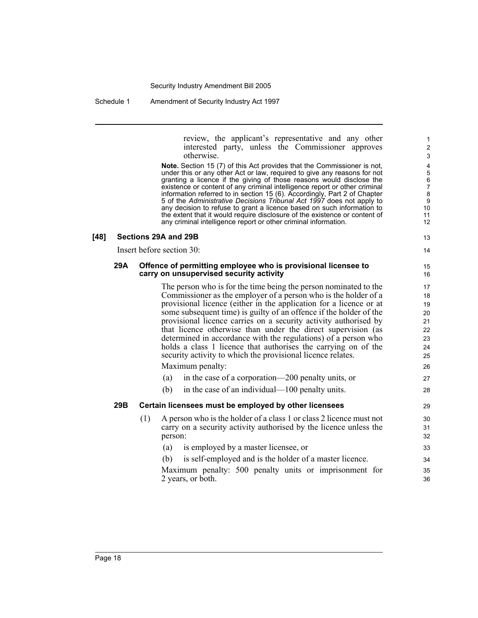#### Schedule 1 Amendment of Security Industry Act 1997

review, the applicant's representative and any other interested party, unless the Commissioner approves otherwise.

**Note.** Section 15 (7) of this Act provides that the Commissioner is not, under this or any other Act or law, required to give any reasons for not granting a licence if the giving of those reasons would disclose the existence or content of any criminal intelligence report or other criminal information referred to in section 15 (6). Accordingly, Part 2 of Chapter 5 of the *Administrative Decisions Tribunal Act 1997* does not apply to any decision to refuse to grant a licence based on such information to the extent that it would require disclosure of the existence or content of any criminal intelligence report or other criminal information.

#### **[48] Sections 29A and 29B**

Insert before section 30:

#### **29A Offence of permitting employee who is provisional licensee to carry on unsupervised security activity**

The person who is for the time being the person nominated to the Commissioner as the employer of a person who is the holder of a provisional licence (either in the application for a licence or at some subsequent time) is guilty of an offence if the holder of the provisional licence carries on a security activity authorised by that licence otherwise than under the direct supervision (as determined in accordance with the regulations) of a person who holds a class 1 licence that authorises the carrying on of the security activity to which the provisional licence relates. Maximum penalty:

- (a) in the case of a corporation—200 penalty units, or
- (b) in the case of an individual—100 penalty units.

#### **29B Certain licensees must be employed by other licensees**

- (1) A person who is the holder of a class 1 or class 2 licence must not carry on a security activity authorised by the licence unless the person:
	- (a) is employed by a master licensee, or (b) is self-employed and is the holder of a master licence.
	- Maximum penalty: 500 penalty units or imprisonment for 2 years, or both.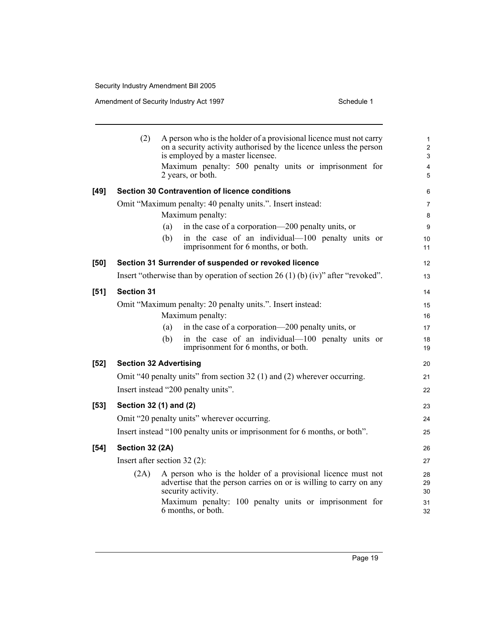|        | (2)                            |     | A person who is the holder of a provisional licence must not carry<br>on a security activity authorised by the licence unless the person<br>is employed by a master licensee.<br>Maximum penalty: 500 penalty units or imprisonment for<br>2 years, or both. | $\mathbf{1}$<br>$\overline{2}$<br>3<br>$\overline{4}$<br>5 |
|--------|--------------------------------|-----|--------------------------------------------------------------------------------------------------------------------------------------------------------------------------------------------------------------------------------------------------------------|------------------------------------------------------------|
|        |                                |     |                                                                                                                                                                                                                                                              |                                                            |
| [49]   |                                |     | <b>Section 30 Contravention of licence conditions</b>                                                                                                                                                                                                        | 6                                                          |
|        |                                |     | Omit "Maximum penalty: 40 penalty units.". Insert instead:<br>Maximum penalty:                                                                                                                                                                               | 7<br>8                                                     |
|        |                                | (a) | in the case of a corporation—200 penalty units, or                                                                                                                                                                                                           | 9                                                          |
|        |                                | (b) | in the case of an individual—100 penalty units or<br>imprisonment for 6 months, or both.                                                                                                                                                                     | 10<br>11                                                   |
| [50]   |                                |     | Section 31 Surrender of suspended or revoked licence                                                                                                                                                                                                         | 12                                                         |
|        |                                |     | Insert "otherwise than by operation of section $26(1)(b)(iv)$ " after "revoked".                                                                                                                                                                             | 13                                                         |
| [51]   | <b>Section 31</b>              |     |                                                                                                                                                                                                                                                              | 14                                                         |
|        |                                |     | Omit "Maximum penalty: 20 penalty units.". Insert instead:                                                                                                                                                                                                   | 15                                                         |
|        |                                |     | Maximum penalty:                                                                                                                                                                                                                                             | 16                                                         |
|        |                                | (a) | in the case of a corporation—200 penalty units, or                                                                                                                                                                                                           | 17                                                         |
|        |                                | (b) | in the case of an individual—100 penalty units or<br>imprisonment for 6 months, or both.                                                                                                                                                                     | 18<br>19                                                   |
| [52]   | <b>Section 32 Advertising</b>  |     |                                                                                                                                                                                                                                                              | 20                                                         |
|        |                                |     | Omit "40 penalty units" from section 32 (1) and (2) wherever occurring.                                                                                                                                                                                      | 21                                                         |
|        |                                |     | Insert instead "200 penalty units".                                                                                                                                                                                                                          | 22                                                         |
| [53]   | Section 32 (1) and (2)         |     |                                                                                                                                                                                                                                                              | 23                                                         |
|        |                                |     | Omit "20 penalty units" wherever occurring.                                                                                                                                                                                                                  | 24                                                         |
|        |                                |     | Insert instead "100 penalty units or imprisonment for 6 months, or both".                                                                                                                                                                                    | 25                                                         |
| $[54]$ | Section 32 (2A)                |     |                                                                                                                                                                                                                                                              | 26                                                         |
|        | Insert after section $32(2)$ : |     |                                                                                                                                                                                                                                                              | 27                                                         |
|        | (2A)                           |     | A person who is the holder of a provisional licence must not<br>advertise that the person carries on or is willing to carry on any<br>security activity.                                                                                                     | 28<br>29<br>30                                             |
|        |                                |     | Maximum penalty: 100 penalty units or imprisonment for<br>6 months, or both.                                                                                                                                                                                 | 31<br>32                                                   |
|        |                                |     |                                                                                                                                                                                                                                                              |                                                            |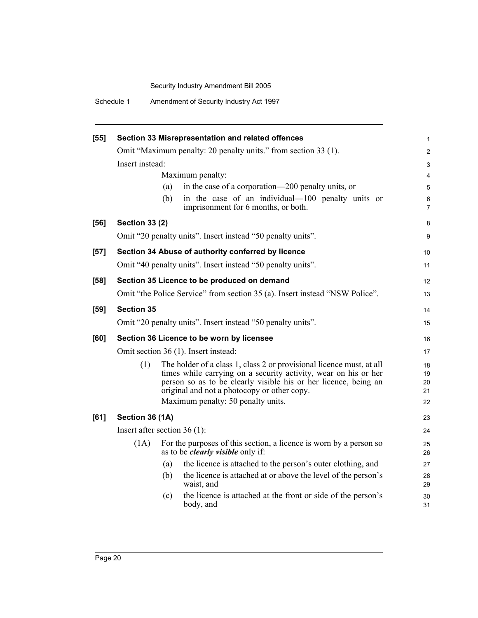Schedule 1 Amendment of Security Industry Act 1997

| [55]   |                                |                  | Section 33 Misrepresentation and related offences                                                                                                                                                                                                                                               | 1                          |
|--------|--------------------------------|------------------|-------------------------------------------------------------------------------------------------------------------------------------------------------------------------------------------------------------------------------------------------------------------------------------------------|----------------------------|
|        |                                |                  | Omit "Maximum penalty: 20 penalty units." from section 33 (1).                                                                                                                                                                                                                                  | $\overline{c}$             |
|        | Insert instead:                |                  |                                                                                                                                                                                                                                                                                                 | 3                          |
|        |                                | Maximum penalty: |                                                                                                                                                                                                                                                                                                 | 4                          |
|        |                                | (a)              | in the case of a corporation—200 penalty units, or                                                                                                                                                                                                                                              | 5                          |
|        |                                | (b)              | in the case of an individual—100 penalty units or<br>imprisonment for 6 months, or both.                                                                                                                                                                                                        | 6<br>$\overline{7}$        |
| [56]   | <b>Section 33 (2)</b>          |                  |                                                                                                                                                                                                                                                                                                 | 8                          |
|        |                                |                  | Omit "20 penalty units". Insert instead "50 penalty units".                                                                                                                                                                                                                                     | 9                          |
| $[57]$ |                                |                  | Section 34 Abuse of authority conferred by licence                                                                                                                                                                                                                                              | 10                         |
|        |                                |                  | Omit "40 penalty units". Insert instead "50 penalty units".                                                                                                                                                                                                                                     | 11                         |
| [58]   |                                |                  | Section 35 Licence to be produced on demand                                                                                                                                                                                                                                                     | 12                         |
|        |                                |                  | Omit "the Police Service" from section 35 (a). Insert instead "NSW Police".                                                                                                                                                                                                                     | 13                         |
| [59]   | <b>Section 35</b>              |                  |                                                                                                                                                                                                                                                                                                 | 14                         |
|        |                                |                  | Omit "20 penalty units". Insert instead "50 penalty units".                                                                                                                                                                                                                                     | 15                         |
| [60]   |                                |                  | Section 36 Licence to be worn by licensee                                                                                                                                                                                                                                                       | 16                         |
|        |                                |                  | Omit section 36 (1). Insert instead:                                                                                                                                                                                                                                                            | 17                         |
|        | (1)                            |                  | The holder of a class 1, class 2 or provisional licence must, at all<br>times while carrying on a security activity, wear on his or her<br>person so as to be clearly visible his or her licence, being an<br>original and not a photocopy or other copy.<br>Maximum penalty: 50 penalty units. | 18<br>19<br>20<br>21<br>22 |
| [61]   | Section 36 (1A)                |                  |                                                                                                                                                                                                                                                                                                 | 23                         |
|        | Insert after section $36(1)$ : |                  |                                                                                                                                                                                                                                                                                                 | 24                         |
|        | (1A)                           |                  | For the purposes of this section, a licence is worn by a person so<br>as to be <i>clearly visible</i> only if:                                                                                                                                                                                  | 25<br>26                   |
|        |                                | (a)              | the licence is attached to the person's outer clothing, and                                                                                                                                                                                                                                     | 27                         |
|        |                                | (b)              | the licence is attached at or above the level of the person's<br>waist, and                                                                                                                                                                                                                     | 28<br>29                   |
|        |                                | (c)              | the licence is attached at the front or side of the person's<br>body, and                                                                                                                                                                                                                       | 30<br>31                   |
|        |                                |                  |                                                                                                                                                                                                                                                                                                 |                            |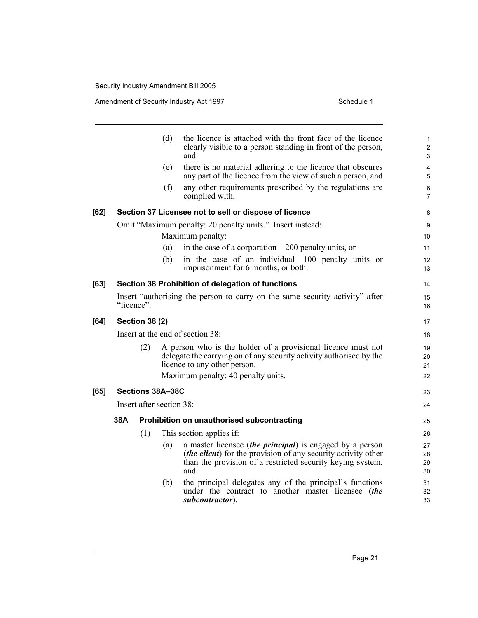|      |            |                          | (d) | the licence is attached with the front face of the licence<br>clearly visible to a person standing in front of the person,<br>and                                                                              | 1<br>$\overline{c}$<br>3 |
|------|------------|--------------------------|-----|----------------------------------------------------------------------------------------------------------------------------------------------------------------------------------------------------------------|--------------------------|
|      |            |                          | (e) | there is no material adhering to the licence that obscures<br>any part of the licence from the view of such a person, and                                                                                      | $\overline{4}$<br>5      |
|      |            |                          | (f) | any other requirements prescribed by the regulations are<br>complied with.                                                                                                                                     | 6<br>$\overline{7}$      |
| [62] |            |                          |     | Section 37 Licensee not to sell or dispose of licence                                                                                                                                                          | 8                        |
|      |            |                          |     | Omit "Maximum penalty: 20 penalty units.". Insert instead:                                                                                                                                                     | 9                        |
|      |            |                          |     | Maximum penalty:                                                                                                                                                                                               | 10                       |
|      |            |                          | (a) | in the case of a corporation—200 penalty units, or                                                                                                                                                             | 11                       |
|      |            |                          | (b) | in the case of an individual-100 penalty units or<br>imprisonment for 6 months, or both.                                                                                                                       | 12<br>13                 |
| [63] |            |                          |     | Section 38 Prohibition of delegation of functions                                                                                                                                                              | 14                       |
|      | "licence". |                          |     | Insert "authorising the person to carry on the same security activity" after                                                                                                                                   | 15<br>16                 |
| [64] |            | <b>Section 38 (2)</b>    |     |                                                                                                                                                                                                                | 17                       |
|      |            |                          |     | Insert at the end of section 38:                                                                                                                                                                               | 18                       |
|      |            | (2)                      |     | A person who is the holder of a provisional licence must not<br>delegate the carrying on of any security activity authorised by the<br>licence to any other person.                                            | 19<br>20<br>21           |
|      |            |                          |     | Maximum penalty: 40 penalty units.                                                                                                                                                                             | 22                       |
| [65] |            | Sections 38A-38C         |     |                                                                                                                                                                                                                | 23                       |
|      |            | Insert after section 38: |     |                                                                                                                                                                                                                | 24                       |
|      | 38A        |                          |     | Prohibition on unauthorised subcontracting                                                                                                                                                                     | 25                       |
|      |            | (1)                      |     | This section applies if:                                                                                                                                                                                       | 26                       |
|      |            |                          | (a) | a master licensee <i>(the principal)</i> is engaged by a person<br>( <i>the client</i> ) for the provision of any security activity other<br>than the provision of a restricted security keying system,<br>and | 27<br>28<br>29<br>30     |
|      |            |                          | (b) | the principal delegates any of the principal's functions<br>under the contract to another master licensee (the<br>subcontractor).                                                                              | 31<br>32<br>33           |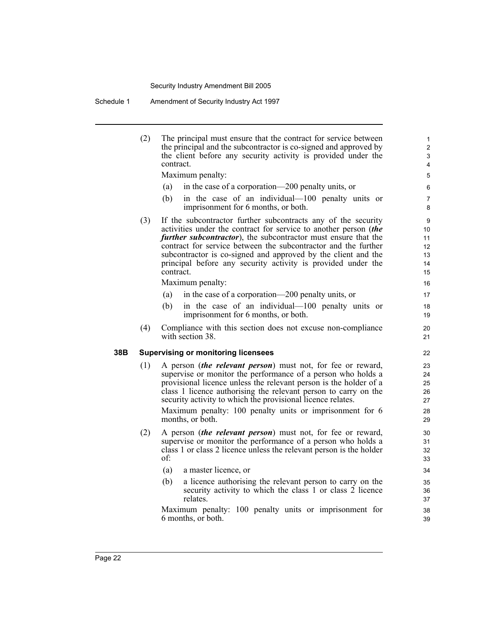Schedule 1 Amendment of Security Industry Act 1997

|     | (2) | The principal must ensure that the contract for service between<br>the principal and the subcontractor is co-signed and approved by<br>the client before any security activity is provided under the<br>contract.                                                                                                                                                                                                           | 1<br>2<br>3<br>$\overline{4}$                      |
|-----|-----|-----------------------------------------------------------------------------------------------------------------------------------------------------------------------------------------------------------------------------------------------------------------------------------------------------------------------------------------------------------------------------------------------------------------------------|----------------------------------------------------|
|     |     | Maximum penalty:                                                                                                                                                                                                                                                                                                                                                                                                            | 5                                                  |
|     |     | in the case of a corporation—200 penalty units, or<br>(a)                                                                                                                                                                                                                                                                                                                                                                   | 6                                                  |
|     |     | (b)<br>in the case of an individual—100 penalty units or<br>imprisonment for 6 months, or both.                                                                                                                                                                                                                                                                                                                             | $\overline{7}$<br>8                                |
|     | (3) | If the subcontractor further subcontracts any of the security<br>activities under the contract for service to another person (the<br><i>further subcontractor</i> ), the subcontractor must ensure that the<br>contract for service between the subcontractor and the further<br>subcontractor is co-signed and approved by the client and the<br>principal before any security activity is provided under the<br>contract. | 9<br>10 <sup>°</sup><br>11<br>12<br>13<br>14<br>15 |
|     |     | Maximum penalty:                                                                                                                                                                                                                                                                                                                                                                                                            | 16                                                 |
|     |     | in the case of a corporation—200 penalty units, or<br>(a)                                                                                                                                                                                                                                                                                                                                                                   | 17                                                 |
|     |     | (b)<br>in the case of an individual—100 penalty units or<br>imprisonment for 6 months, or both.                                                                                                                                                                                                                                                                                                                             | 18<br>19                                           |
|     | (4) | Compliance with this section does not excuse non-compliance<br>with section 38.                                                                                                                                                                                                                                                                                                                                             | 20<br>21                                           |
| 38B |     | <b>Supervising or monitoring licensees</b>                                                                                                                                                                                                                                                                                                                                                                                  | 22                                                 |
|     | (1) | A person <i>(the relevant person)</i> must not, for fee or reward,<br>supervise or monitor the performance of a person who holds a                                                                                                                                                                                                                                                                                          | 23<br>24                                           |
|     |     | provisional licence unless the relevant person is the holder of a<br>class 1 licence authorising the relevant person to carry on the<br>security activity to which the provisional licence relates.<br>Maximum penalty: 100 penalty units or imprisonment for 6<br>months, or both.                                                                                                                                         | 25<br>26<br>27<br>28<br>29                         |
|     | (2) | A person <i>(the relevant person)</i> must not, for fee or reward,<br>supervise or monitor the performance of a person who holds a<br>class 1 or class 2 licence unless the relevant person is the holder<br>of:                                                                                                                                                                                                            | 30<br>31<br>32<br>33                               |
|     |     | (a)<br>a master licence, or                                                                                                                                                                                                                                                                                                                                                                                                 | 34                                                 |
|     |     | a licence authorising the relevant person to carry on the<br>(b)<br>security activity to which the class 1 or class 2 licence<br>relates.                                                                                                                                                                                                                                                                                   | 35<br>36<br>37                                     |
|     |     | Maximum penalty: 100 penalty units or imprisonment for<br>6 months, or both.                                                                                                                                                                                                                                                                                                                                                | 38<br>39                                           |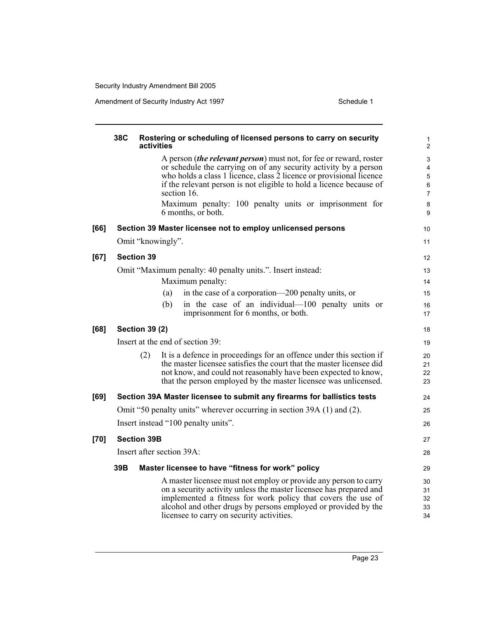|        | 38C | activities                | Rostering or scheduling of licensed persons to carry on security                                                                                                                                                                                                                                                                                                                           | 1<br>$\overline{c}$                          |
|--------|-----|---------------------------|--------------------------------------------------------------------------------------------------------------------------------------------------------------------------------------------------------------------------------------------------------------------------------------------------------------------------------------------------------------------------------------------|----------------------------------------------|
|        |     |                           | A person <i>(the relevant person)</i> must not, for fee or reward, roster<br>or schedule the carrying on of any security activity by a person<br>who holds a class 1 licence, class 2 licence or provisional licence<br>if the relevant person is not eligible to hold a licence because of<br>section 16.<br>Maximum penalty: 100 penalty units or imprisonment for<br>6 months, or both. | 3<br>4<br>5<br>6<br>$\overline{7}$<br>8<br>9 |
| [66]   |     |                           | Section 39 Master licensee not to employ unlicensed persons                                                                                                                                                                                                                                                                                                                                | 10                                           |
|        |     | Omit "knowingly".         |                                                                                                                                                                                                                                                                                                                                                                                            | 11                                           |
| [67]   |     | <b>Section 39</b>         |                                                                                                                                                                                                                                                                                                                                                                                            | 12                                           |
|        |     |                           | Omit "Maximum penalty: 40 penalty units.". Insert instead:<br>Maximum penalty:                                                                                                                                                                                                                                                                                                             | 13<br>14                                     |
|        |     | (a)                       | in the case of a corporation—200 penalty units, or                                                                                                                                                                                                                                                                                                                                         | 15                                           |
|        |     | (b)                       | in the case of an individual—100 penalty units or<br>imprisonment for 6 months, or both.                                                                                                                                                                                                                                                                                                   | 16<br>17                                     |
| [68]   |     | <b>Section 39 (2)</b>     |                                                                                                                                                                                                                                                                                                                                                                                            | 18                                           |
|        |     |                           | Insert at the end of section 39:                                                                                                                                                                                                                                                                                                                                                           | 19                                           |
|        |     | (2)                       | It is a defence in proceedings for an offence under this section if<br>the master licensee satisfies the court that the master licensee did<br>not know, and could not reasonably have been expected to know,<br>that the person employed by the master licensee was unlicensed.                                                                                                           | 20<br>21<br>22<br>23                         |
| [69]   |     |                           | Section 39A Master licensee to submit any firearms for ballistics tests                                                                                                                                                                                                                                                                                                                    | 24                                           |
|        |     |                           | Omit "50 penalty units" wherever occurring in section 39A (1) and (2).                                                                                                                                                                                                                                                                                                                     | 25                                           |
|        |     |                           | Insert instead "100 penalty units".                                                                                                                                                                                                                                                                                                                                                        | 26                                           |
| $[70]$ |     | <b>Section 39B</b>        |                                                                                                                                                                                                                                                                                                                                                                                            | 27                                           |
|        |     | Insert after section 39A: |                                                                                                                                                                                                                                                                                                                                                                                            | 28                                           |
|        | 39B |                           | Master licensee to have "fitness for work" policy                                                                                                                                                                                                                                                                                                                                          | 29                                           |
|        |     |                           | A master licensee must not employ or provide any person to carry<br>on a security activity unless the master licensee has prepared and<br>implemented a fitness for work policy that covers the use of<br>alcohol and other drugs by persons employed or provided by the<br>licensee to carry on security activities.                                                                      | 30<br>31<br>32<br>33<br>34                   |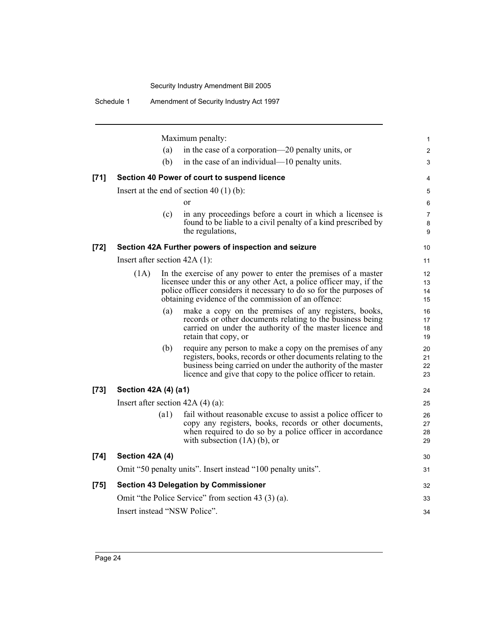Schedule 1 Amendment of Security Industry Act 1997

|        |                                 |      | Maximum penalty:                                                                                                                                                                                                                                                  | 1                                   |
|--------|---------------------------------|------|-------------------------------------------------------------------------------------------------------------------------------------------------------------------------------------------------------------------------------------------------------------------|-------------------------------------|
|        |                                 | (a)  | in the case of a corporation—20 penalty units, or                                                                                                                                                                                                                 | 2                                   |
|        |                                 | (b)  | in the case of an individual—10 penalty units.                                                                                                                                                                                                                    | 3                                   |
| $[71]$ |                                 |      | Section 40 Power of court to suspend licence                                                                                                                                                                                                                      | 4                                   |
|        |                                 |      | Insert at the end of section 40 $(1)$ (b):                                                                                                                                                                                                                        | 5                                   |
|        |                                 |      | or                                                                                                                                                                                                                                                                | 6                                   |
|        |                                 | (c)  | in any proceedings before a court in which a licensee is<br>found to be liable to a civil penalty of a kind prescribed by<br>the regulations,                                                                                                                     | $\overline{7}$<br>8<br>9            |
| $[72]$ |                                 |      | Section 42A Further powers of inspection and seizure                                                                                                                                                                                                              | 10                                  |
|        | Insert after section $42A(1)$ : |      |                                                                                                                                                                                                                                                                   | 11                                  |
|        | (1A)                            |      | In the exercise of any power to enter the premises of a master<br>licensee under this or any other Act, a police officer may, if the<br>police officer considers it necessary to do so for the purposes of<br>obtaining evidence of the commission of an offence: | $12 \overline{ }$<br>13<br>14<br>15 |
|        |                                 | (a)  | make a copy on the premises of any registers, books,<br>records or other documents relating to the business being<br>carried on under the authority of the master licence and<br>retain that copy, or                                                             | 16<br>17<br>18<br>19                |
|        |                                 | (b)  | require any person to make a copy on the premises of any<br>registers, books, records or other documents relating to the<br>business being carried on under the authority of the master<br>licence and give that copy to the police officer to retain.            | 20<br>21<br>22<br>23                |
| $[73]$ | Section 42A (4) (a1)            |      |                                                                                                                                                                                                                                                                   | 24                                  |
|        |                                 |      | Insert after section $42A(4)(a)$ :                                                                                                                                                                                                                                | 25                                  |
|        |                                 | (a1) | fail without reasonable excuse to assist a police officer to<br>copy any registers, books, records or other documents,<br>when required to do so by a police officer in accordance<br>with subsection $(1A)$ (b), or                                              | 26<br>27<br>28<br>29                |
| $[74]$ | Section 42A (4)                 |      |                                                                                                                                                                                                                                                                   | 30                                  |
|        |                                 |      | Omit "50 penalty units". Insert instead "100 penalty units".                                                                                                                                                                                                      | 31                                  |
| $[75]$ |                                 |      | <b>Section 43 Delegation by Commissioner</b>                                                                                                                                                                                                                      | 32                                  |
|        |                                 |      | Omit "the Police Service" from section 43 (3) (a).                                                                                                                                                                                                                | 33                                  |
|        |                                 |      | Insert instead "NSW Police".                                                                                                                                                                                                                                      | 34                                  |
|        |                                 |      |                                                                                                                                                                                                                                                                   |                                     |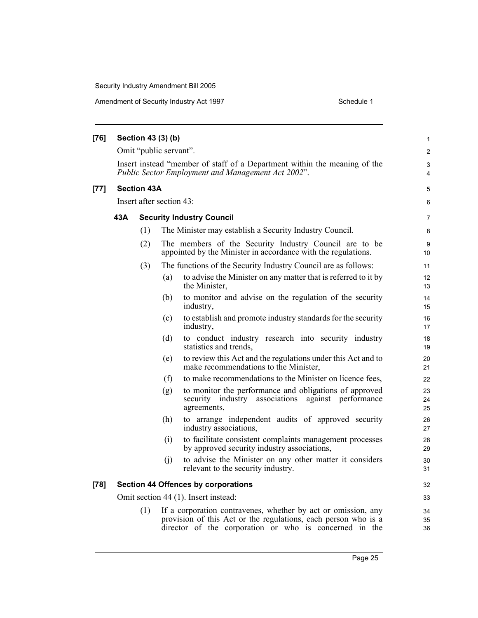| [76] |     |                    | Section 43 (3) (b)       |                                                                                                                                                                                           |                       |
|------|-----|--------------------|--------------------------|-------------------------------------------------------------------------------------------------------------------------------------------------------------------------------------------|-----------------------|
|      |     |                    | Omit "public servant".   |                                                                                                                                                                                           | 1<br>$\overline{2}$   |
|      |     |                    |                          | Insert instead "member of staff of a Department within the meaning of the<br>Public Sector Employment and Management Act 2002".                                                           | 3<br>4                |
| [77] |     | <b>Section 43A</b> |                          |                                                                                                                                                                                           | 5                     |
|      |     |                    | Insert after section 43: |                                                                                                                                                                                           | 6                     |
|      | 43A |                    |                          | <b>Security Industry Council</b>                                                                                                                                                          | 7                     |
|      |     | (1)                |                          | The Minister may establish a Security Industry Council.                                                                                                                                   | 8                     |
|      |     | (2)                |                          | The members of the Security Industry Council are to be<br>appointed by the Minister in accordance with the regulations.                                                                   | 9<br>10               |
|      |     | (3)                |                          | The functions of the Security Industry Council are as follows:                                                                                                                            | 11                    |
|      |     |                    | (a)                      | to advise the Minister on any matter that is referred to it by<br>the Minister,                                                                                                           | 12 <sup>2</sup><br>13 |
|      |     |                    | (b)                      | to monitor and advise on the regulation of the security<br>industry,                                                                                                                      | 14<br>15              |
|      |     |                    | (c)                      | to establish and promote industry standards for the security<br>industry,                                                                                                                 | 16<br>17              |
|      |     |                    | (d)                      | to conduct industry research into security industry<br>statistics and trends,                                                                                                             | 18<br>19              |
|      |     |                    | (e)                      | to review this Act and the regulations under this Act and to<br>make recommendations to the Minister,                                                                                     | 20<br>21              |
|      |     |                    | (f)                      | to make recommendations to the Minister on licence fees,                                                                                                                                  | 22                    |
|      |     |                    | (g)                      | to monitor the performance and obligations of approved<br>security industry associations against performance<br>agreements,                                                               | 23<br>24<br>25        |
|      |     |                    | (h)                      | to arrange independent audits of approved security<br>industry associations,                                                                                                              | 26<br>27              |
|      |     |                    | (i)                      | to facilitate consistent complaints management processes<br>by approved security industry associations,                                                                                   | 28<br>29              |
|      |     |                    | (j)                      | to advise the Minister on any other matter it considers<br>relevant to the security industry.                                                                                             | 30<br>31              |
| [78] |     |                    |                          | <b>Section 44 Offences by corporations</b>                                                                                                                                                | 32                    |
|      |     |                    |                          | Omit section 44 (1). Insert instead:                                                                                                                                                      | 33                    |
|      |     | (1)                |                          | If a corporation contravenes, whether by act or omission, any<br>provision of this Act or the regulations, each person who is a<br>director of the corporation or who is concerned in the | 34<br>35<br>36        |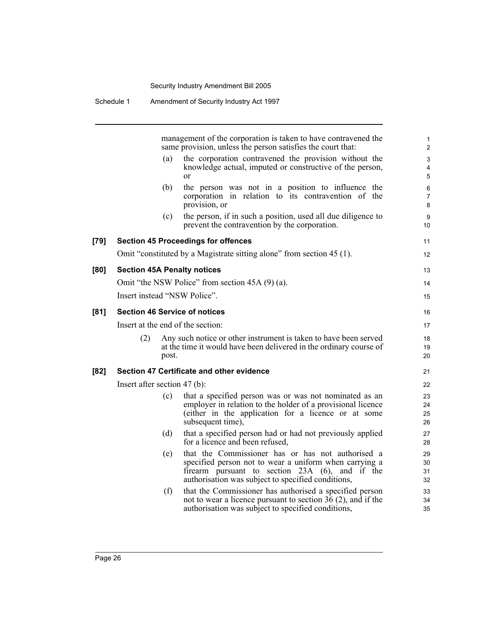Schedule 1 Amendment of Security Industry Act 1997

management of the corporation is taken to have contravened the same provision, unless the person satisfies the court that:

11 12

13 14 15

- (a) the corporation contravened the provision without the knowledge actual, imputed or constructive of the person, or
- (b) the person was not in a position to influence the corporation in relation to its contravention of the provision, or
- (c) the person, if in such a position, used all due diligence to prevent the contravention by the corporation.

#### **[79] Section 45 Proceedings for offences**

Omit "constituted by a Magistrate sitting alone" from section 45 (1).

#### **[80] Section 45A Penalty notices**

Omit "the NSW Police" from section 45A (9) (a). Insert instead "NSW Police".

#### **[81] Section 46 Service of notices**

Insert at the end of the section:

(2) Any such notice or other instrument is taken to have been served at the time it would have been delivered in the ordinary course of post.

#### **[82] Section 47 Certificate and other evidence**

Insert after section 47 (b):

- (c) that a specified person was or was not nominated as an employer in relation to the holder of a provisional licence (either in the application for a licence or at some subsequent time),
- (d) that a specified person had or had not previously applied for a licence and been refused,
- (e) that the Commissioner has or has not authorised a specified person not to wear a uniform when carrying a firearm pursuant to section 23A (6), and if the authorisation was subject to specified conditions,
- (f) that the Commissioner has authorised a specified person not to wear a licence pursuant to section  $36(2)$ , and if the authorisation was subject to specified conditions,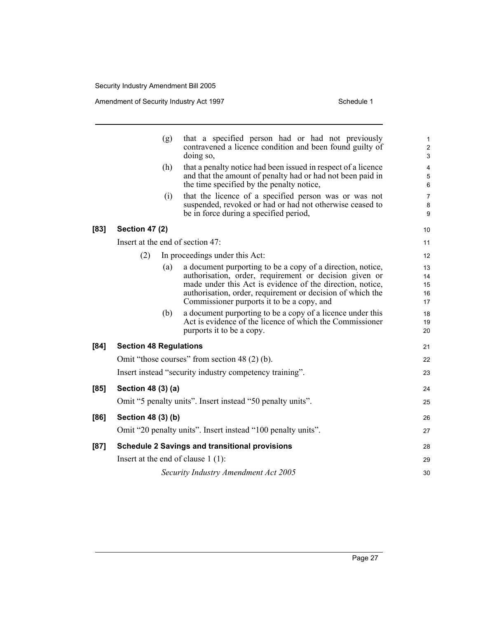|      |                               | (g) | that a specified person had or had not previously<br>contravened a licence condition and been found guilty of<br>doing so,                                                                                                                                                                    | 1<br>$\overline{c}$<br>3   |
|------|-------------------------------|-----|-----------------------------------------------------------------------------------------------------------------------------------------------------------------------------------------------------------------------------------------------------------------------------------------------|----------------------------|
|      |                               | (h) | that a penalty notice had been issued in respect of a licence<br>and that the amount of penalty had or had not been paid in<br>the time specified by the penalty notice,                                                                                                                      | 4<br>5<br>6                |
|      |                               | (i) | that the licence of a specified person was or was not<br>suspended, revoked or had or had not otherwise ceased to<br>be in force during a specified period,                                                                                                                                   | 7<br>8<br>9                |
| [83] | <b>Section 47 (2)</b>         |     |                                                                                                                                                                                                                                                                                               | 10                         |
|      |                               |     | Insert at the end of section 47:                                                                                                                                                                                                                                                              | 11                         |
|      | (2)                           |     | In proceedings under this Act:                                                                                                                                                                                                                                                                | 12                         |
|      |                               | (a) | a document purporting to be a copy of a direction, notice,<br>authorisation, order, requirement or decision given or<br>made under this Act is evidence of the direction, notice,<br>authorisation, order, requirement or decision of which the<br>Commissioner purports it to be a copy, and | 13<br>14<br>15<br>16<br>17 |
|      |                               | (b) | a document purporting to be a copy of a licence under this<br>Act is evidence of the licence of which the Commissioner<br>purports it to be a copy.                                                                                                                                           | 18<br>19<br>20             |
| [84] | <b>Section 48 Regulations</b> |     |                                                                                                                                                                                                                                                                                               | 21                         |
|      |                               |     | Omit "those courses" from section 48 (2) (b).                                                                                                                                                                                                                                                 | 22                         |
|      |                               |     | Insert instead "security industry competency training".                                                                                                                                                                                                                                       | 23                         |
| [85] | Section 48 (3) (a)            |     |                                                                                                                                                                                                                                                                                               | 24                         |
|      |                               |     | Omit "5 penalty units". Insert instead "50 penalty units".                                                                                                                                                                                                                                    | 25                         |
| [86] | Section 48 (3) (b)            |     |                                                                                                                                                                                                                                                                                               | 26                         |
|      |                               |     | Omit "20 penalty units". Insert instead "100 penalty units".                                                                                                                                                                                                                                  | 27                         |
| [87] |                               |     | <b>Schedule 2 Savings and transitional provisions</b>                                                                                                                                                                                                                                         | 28                         |
|      |                               |     | Insert at the end of clause $1(1)$ :                                                                                                                                                                                                                                                          | 29                         |
|      |                               |     | Security Industry Amendment Act 2005                                                                                                                                                                                                                                                          | 30                         |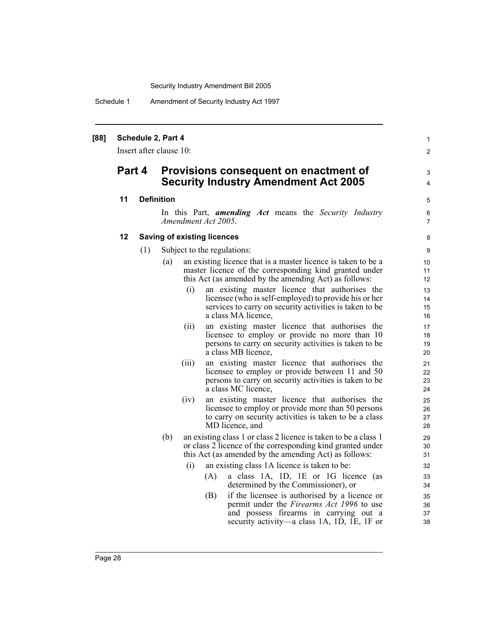Schedule 1 Amendment of Security Industry Act 1997

#### **[88] Schedule 2, Part 4**

Insert after clause 10:

## **Part 4 Provisions consequent on enactment of Security Industry Amendment Act 2005**

#### **11 Definition**

In this Part, *amending Act* means the *Security Industry Amendment Act 2005*.

1  $\mathfrak{p}$ 

3 4

5 6 7

#### **12 Saving of existing licences**

- (1) Subject to the regulations:
	- (a) an existing licence that is a master licence is taken to be a master licence of the corresponding kind granted under this Act (as amended by the amending Act) as follows:
		- (i) an existing master licence that authorises the licensee (who is self-employed) to provide his or her services to carry on security activities is taken to be a class MA licence,
		- (ii) an existing master licence that authorises the licensee to employ or provide no more than 10 persons to carry on security activities is taken to be a class MB licence,
		- (iii) an existing master licence that authorises the licensee to employ or provide between 11 and 50 persons to carry on security activities is taken to be a class MC licence,
		- (iv) an existing master licence that authorises the licensee to employ or provide more than 50 persons to carry on security activities is taken to be a class MD licence, and
	- (b) an existing class 1 or class 2 licence is taken to be a class 1 or class 2 licence of the corresponding kind granted under this Act (as amended by the amending Act) as follows:
		- (i) an existing class 1A licence is taken to be:
			- (A) a class 1A, 1D, 1E or 1G licence (as determined by the Commissioner), or
			- (B) if the licensee is authorised by a licence or permit under the *Firearms Act 1996* to use and possess firearms in carrying out a security activity—a class 1A, 1D, 1E, 1F or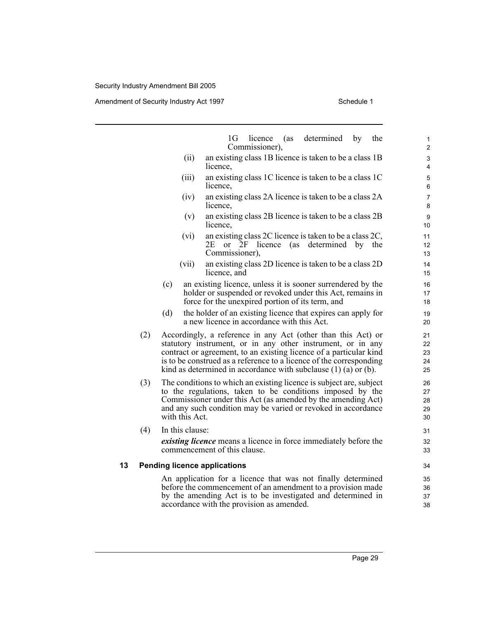|    |     | 1G<br>licence<br>(as<br>Commissioner),                                                                                                                                                                                                                                                                                                             | determined<br>by | the | 1<br>$\overline{\mathbf{c}}$ |
|----|-----|----------------------------------------------------------------------------------------------------------------------------------------------------------------------------------------------------------------------------------------------------------------------------------------------------------------------------------------------------|------------------|-----|------------------------------|
|    |     | an existing class 1B licence is taken to be a class 1B<br>(ii)<br>licence.                                                                                                                                                                                                                                                                         |                  |     | 3<br>4                       |
|    |     | an existing class 1C licence is taken to be a class 1C<br>(iii)<br>licence,                                                                                                                                                                                                                                                                        |                  |     | 5<br>6                       |
|    |     | an existing class 2A licence is taken to be a class 2A<br>(iv)<br>licence,                                                                                                                                                                                                                                                                         |                  |     | $\overline{7}$<br>8          |
|    |     | an existing class 2B licence is taken to be a class 2B<br>(v)<br>licence,                                                                                                                                                                                                                                                                          |                  |     | 9<br>10                      |
|    |     | an existing class 2C licence is taken to be a class 2C,<br>(vi)<br>2E<br>licence (as determined by the<br>$\alpha$<br>2F<br>Commissioner),                                                                                                                                                                                                         |                  |     | 11<br>12<br>13               |
|    |     | an existing class 2D licence is taken to be a class 2D<br>(vii)<br>licence, and                                                                                                                                                                                                                                                                    |                  |     | 14<br>15                     |
|    |     | an existing licence, unless it is sooner surrendered by the<br>(c)<br>holder or suspended or revoked under this Act, remains in<br>force for the unexpired portion of its term, and                                                                                                                                                                |                  |     | 16<br>17<br>18               |
|    |     | (d)<br>the holder of an existing licence that expires can apply for<br>a new licence in accordance with this Act.                                                                                                                                                                                                                                  |                  |     | 19<br>20                     |
|    | (2) | Accordingly, a reference in any Act (other than this Act) or<br>statutory instrument, or in any other instrument, or in any<br>contract or agreement, to an existing licence of a particular kind<br>is to be construed as a reference to a licence of the corresponding<br>kind as determined in accordance with subclause $(1)$ $(a)$ or $(b)$ . |                  |     | 21<br>22<br>23<br>24<br>25   |
|    | (3) | The conditions to which an existing licence is subject are, subject<br>to the regulations, taken to be conditions imposed by the<br>Commissioner under this Act (as amended by the amending Act)<br>and any such condition may be varied or revoked in accordance<br>with this Act.                                                                |                  |     | 26<br>27<br>28<br>29<br>30   |
|    | (4) | In this clause:<br><i>existing licence</i> means a licence in force immediately before the<br>commencement of this clause.                                                                                                                                                                                                                         |                  |     | 31<br>32<br>33               |
| 13 |     | <b>Pending licence applications</b>                                                                                                                                                                                                                                                                                                                |                  |     | 34                           |
|    |     | An application for a licence that was not finally determined<br>before the commencement of an amendment to a provision made<br>by the amending Act is to be investigated and determined in<br>accordance with the provision as amended.                                                                                                            |                  |     | 35<br>36<br>37<br>38         |
|    |     |                                                                                                                                                                                                                                                                                                                                                    |                  |     |                              |